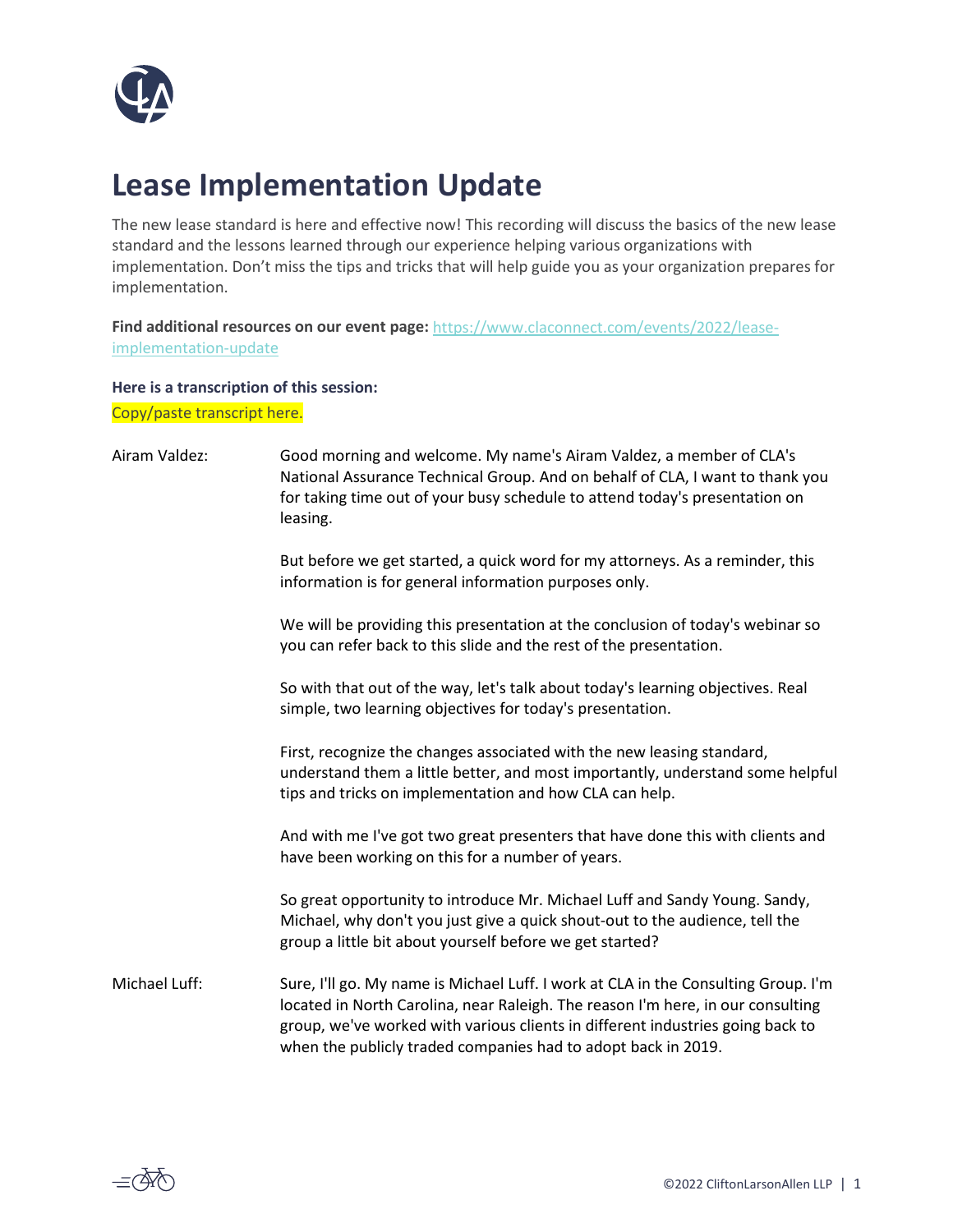

## **Lease Implementation Update**

The new lease standard is here and effective now! This recording will discuss the basics of the new lease standard and the lessons learned through our experience helping various organizations with implementation. Don't miss the tips and tricks that will help guide you as your organization prepares for implementation.

**Find additional resources on our event page:** [https://www.claconnect.com/events/2022/lease](https://www.claconnect.com/events/2022/lease-implementation-update)[implementation-update](https://www.claconnect.com/events/2022/lease-implementation-update)

## **Here is a transcription of this session:**

Copy/paste transcript here.

| Airam Valdez: | Good morning and welcome. My name's Airam Valdez, a member of CLA's<br>National Assurance Technical Group. And on behalf of CLA, I want to thank you<br>for taking time out of your busy schedule to attend today's presentation on<br>leasing.                                                                          |
|---------------|--------------------------------------------------------------------------------------------------------------------------------------------------------------------------------------------------------------------------------------------------------------------------------------------------------------------------|
|               | But before we get started, a quick word for my attorneys. As a reminder, this<br>information is for general information purposes only.                                                                                                                                                                                   |
|               | We will be providing this presentation at the conclusion of today's webinar so<br>you can refer back to this slide and the rest of the presentation.                                                                                                                                                                     |
|               | So with that out of the way, let's talk about today's learning objectives. Real<br>simple, two learning objectives for today's presentation.                                                                                                                                                                             |
|               | First, recognize the changes associated with the new leasing standard,<br>understand them a little better, and most importantly, understand some helpful<br>tips and tricks on implementation and how CLA can help.                                                                                                      |
|               | And with me I've got two great presenters that have done this with clients and<br>have been working on this for a number of years.                                                                                                                                                                                       |
|               | So great opportunity to introduce Mr. Michael Luff and Sandy Young. Sandy,<br>Michael, why don't you just give a quick shout-out to the audience, tell the<br>group a little bit about yourself before we get started?                                                                                                   |
| Michael Luff: | Sure, I'll go. My name is Michael Luff. I work at CLA in the Consulting Group. I'm<br>located in North Carolina, near Raleigh. The reason I'm here, in our consulting<br>group, we've worked with various clients in different industries going back to<br>when the publicly traded companies had to adopt back in 2019. |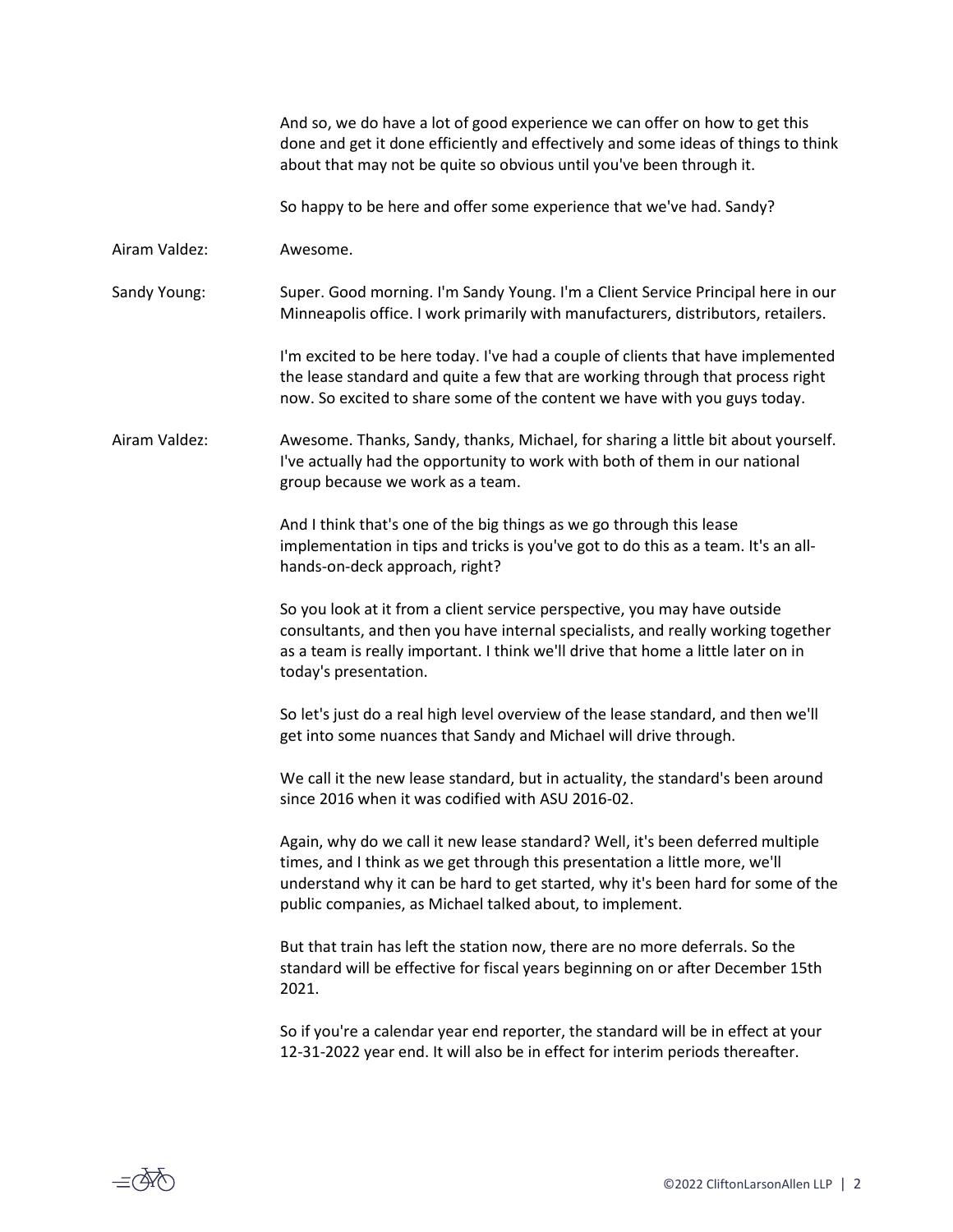And so, we do have a lot of good experience we can offer on how to get this done and get it done efficiently and effectively and some ideas of things to think about that may not be quite so obvious until you've been through it.

So happy to be here and offer some experience that we've had. Sandy?

Airam Valdez: Awesome.

Sandy Young: Super. Good morning. I'm Sandy Young. I'm a Client Service Principal here in our Minneapolis office. I work primarily with manufacturers, distributors, retailers.

> I'm excited to be here today. I've had a couple of clients that have implemented the lease standard and quite a few that are working through that process right now. So excited to share some of the content we have with you guys today.

Airam Valdez: Awesome. Thanks, Sandy, thanks, Michael, for sharing a little bit about yourself. I've actually had the opportunity to work with both of them in our national group because we work as a team.

> And I think that's one of the big things as we go through this lease implementation in tips and tricks is you've got to do this as a team. It's an allhands-on-deck approach, right?

So you look at it from a client service perspective, you may have outside consultants, and then you have internal specialists, and really working together as a team is really important. I think we'll drive that home a little later on in today's presentation.

So let's just do a real high level overview of the lease standard, and then we'll get into some nuances that Sandy and Michael will drive through.

We call it the new lease standard, but in actuality, the standard's been around since 2016 when it was codified with ASU 2016-02.

Again, why do we call it new lease standard? Well, it's been deferred multiple times, and I think as we get through this presentation a little more, we'll understand why it can be hard to get started, why it's been hard for some of the public companies, as Michael talked about, to implement.

But that train has left the station now, there are no more deferrals. So the standard will be effective for fiscal years beginning on or after December 15th 2021.

So if you're a calendar year end reporter, the standard will be in effect at your 12-31-2022 year end. It will also be in effect for interim periods thereafter.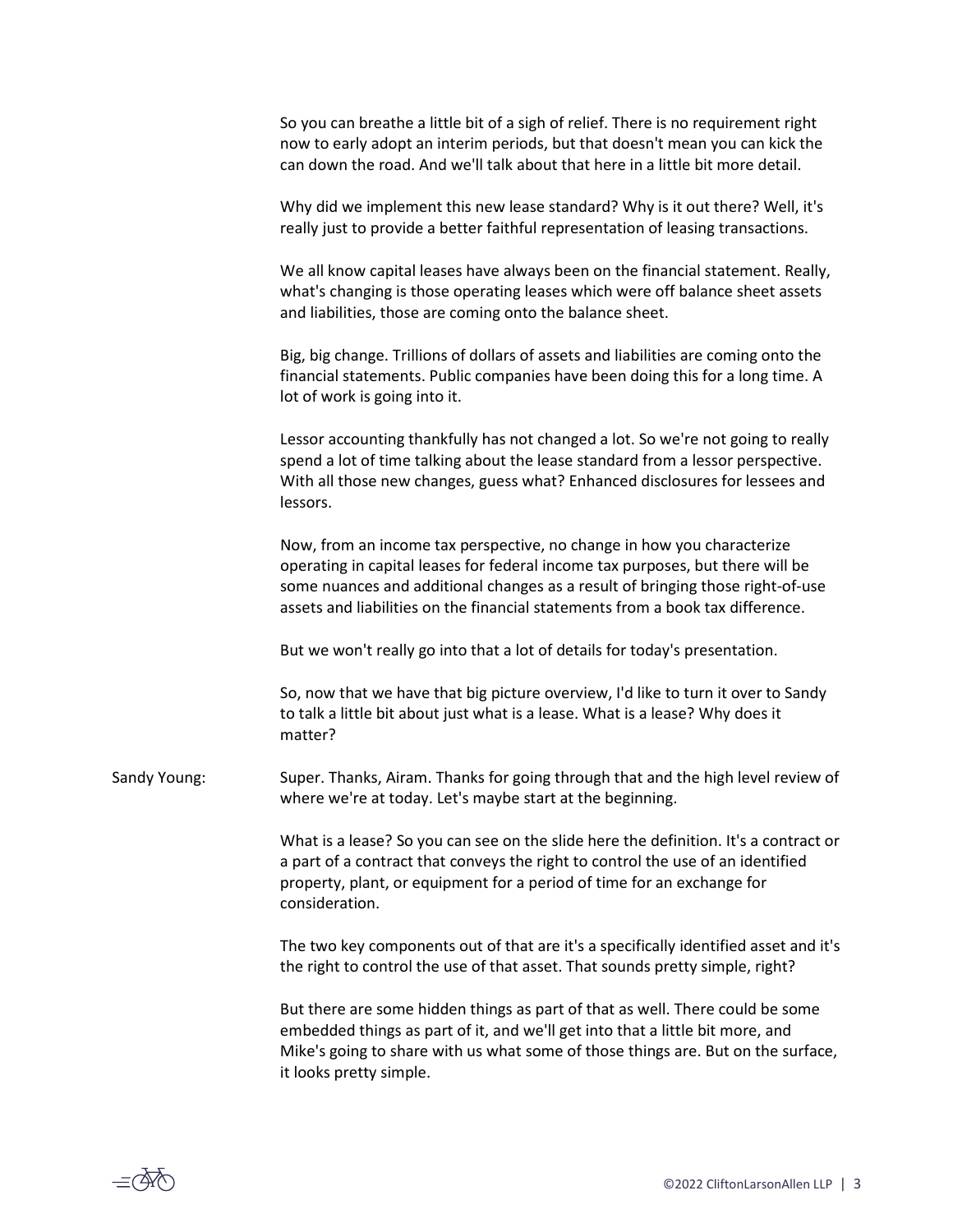So you can breathe a little bit of a sigh of relief. There is no requirement right now to early adopt an interim periods, but that doesn't mean you can kick the can down the road. And we'll talk about that here in a little bit more detail.

Why did we implement this new lease standard? Why is it out there? Well, it's really just to provide a better faithful representation of leasing transactions.

We all know capital leases have always been on the financial statement. Really, what's changing is those operating leases which were off balance sheet assets and liabilities, those are coming onto the balance sheet.

Big, big change. Trillions of dollars of assets and liabilities are coming onto the financial statements. Public companies have been doing this for a long time. A lot of work is going into it.

Lessor accounting thankfully has not changed a lot. So we're not going to really spend a lot of time talking about the lease standard from a lessor perspective. With all those new changes, guess what? Enhanced disclosures for lessees and lessors.

Now, from an income tax perspective, no change in how you characterize operating in capital leases for federal income tax purposes, but there will be some nuances and additional changes as a result of bringing those right-of-use assets and liabilities on the financial statements from a book tax difference.

But we won't really go into that a lot of details for today's presentation.

So, now that we have that big picture overview, I'd like to turn it over to Sandy to talk a little bit about just what is a lease. What is a lease? Why does it matter?

Sandy Young: Super. Thanks, Airam. Thanks for going through that and the high level review of where we're at today. Let's maybe start at the beginning.

> What is a lease? So you can see on the slide here the definition. It's a contract or a part of a contract that conveys the right to control the use of an identified property, plant, or equipment for a period of time for an exchange for consideration.

> The two key components out of that are it's a specifically identified asset and it's the right to control the use of that asset. That sounds pretty simple, right?

> But there are some hidden things as part of that as well. There could be some embedded things as part of it, and we'll get into that a little bit more, and Mike's going to share with us what some of those things are. But on the surface, it looks pretty simple.

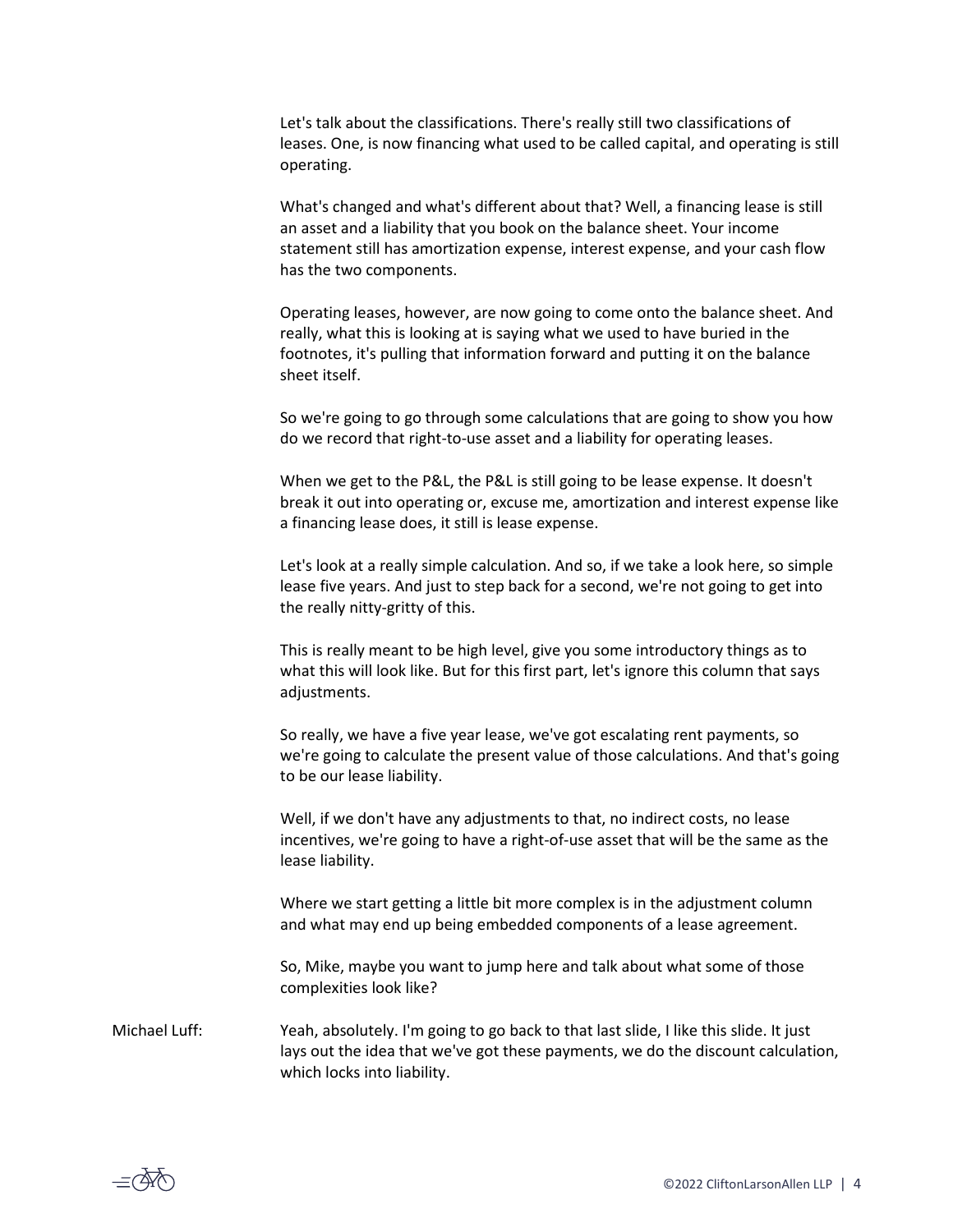Let's talk about the classifications. There's really still two classifications of leases. One, is now financing what used to be called capital, and operating is still operating.

What's changed and what's different about that? Well, a financing lease is still an asset and a liability that you book on the balance sheet. Your income statement still has amortization expense, interest expense, and your cash flow has the two components.

Operating leases, however, are now going to come onto the balance sheet. And really, what this is looking at is saying what we used to have buried in the footnotes, it's pulling that information forward and putting it on the balance sheet itself.

So we're going to go through some calculations that are going to show you how do we record that right-to-use asset and a liability for operating leases.

When we get to the P&L, the P&L is still going to be lease expense. It doesn't break it out into operating or, excuse me, amortization and interest expense like a financing lease does, it still is lease expense.

Let's look at a really simple calculation. And so, if we take a look here, so simple lease five years. And just to step back for a second, we're not going to get into the really nitty-gritty of this.

This is really meant to be high level, give you some introductory things as to what this will look like. But for this first part, let's ignore this column that says adjustments.

So really, we have a five year lease, we've got escalating rent payments, so we're going to calculate the present value of those calculations. And that's going to be our lease liability.

Well, if we don't have any adjustments to that, no indirect costs, no lease incentives, we're going to have a right-of-use asset that will be the same as the lease liability.

Where we start getting a little bit more complex is in the adjustment column and what may end up being embedded components of a lease agreement.

So, Mike, maybe you want to jump here and talk about what some of those complexities look like?

Michael Luff: Yeah, absolutely. I'm going to go back to that last slide, I like this slide. It just lays out the idea that we've got these payments, we do the discount calculation, which locks into liability.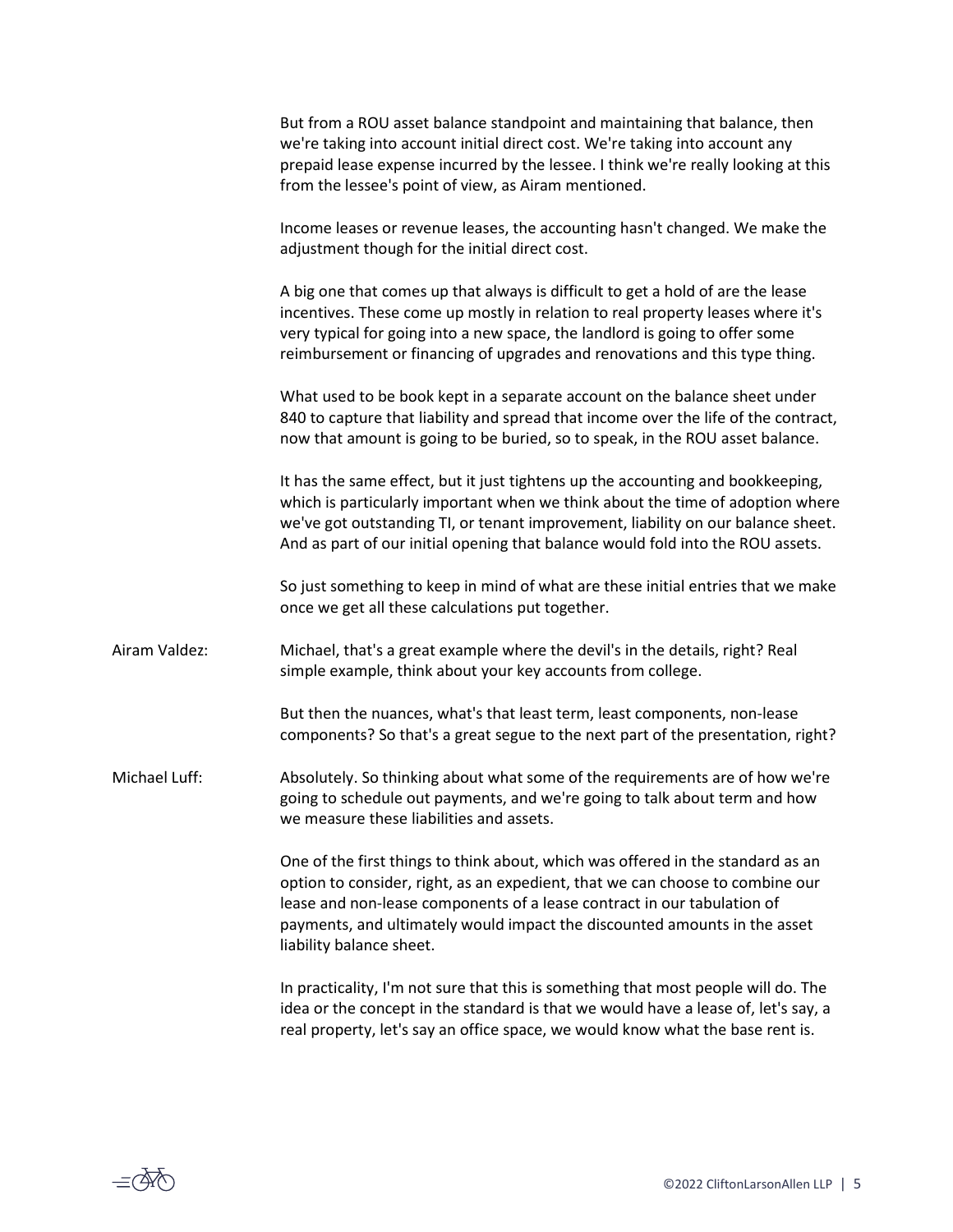|               | But from a ROU asset balance standpoint and maintaining that balance, then<br>we're taking into account initial direct cost. We're taking into account any<br>prepaid lease expense incurred by the lessee. I think we're really looking at this<br>from the lessee's point of view, as Airam mentioned.                                             |
|---------------|------------------------------------------------------------------------------------------------------------------------------------------------------------------------------------------------------------------------------------------------------------------------------------------------------------------------------------------------------|
|               | Income leases or revenue leases, the accounting hasn't changed. We make the<br>adjustment though for the initial direct cost.                                                                                                                                                                                                                        |
|               | A big one that comes up that always is difficult to get a hold of are the lease<br>incentives. These come up mostly in relation to real property leases where it's<br>very typical for going into a new space, the landlord is going to offer some<br>reimbursement or financing of upgrades and renovations and this type thing.                    |
|               | What used to be book kept in a separate account on the balance sheet under<br>840 to capture that liability and spread that income over the life of the contract,<br>now that amount is going to be buried, so to speak, in the ROU asset balance.                                                                                                   |
|               | It has the same effect, but it just tightens up the accounting and bookkeeping,<br>which is particularly important when we think about the time of adoption where<br>we've got outstanding TI, or tenant improvement, liability on our balance sheet.<br>And as part of our initial opening that balance would fold into the ROU assets.             |
|               | So just something to keep in mind of what are these initial entries that we make<br>once we get all these calculations put together.                                                                                                                                                                                                                 |
| Airam Valdez: | Michael, that's a great example where the devil's in the details, right? Real<br>simple example, think about your key accounts from college.                                                                                                                                                                                                         |
|               | But then the nuances, what's that least term, least components, non-lease<br>components? So that's a great segue to the next part of the presentation, right?                                                                                                                                                                                        |
| Michael Luff: | Absolutely. So thinking about what some of the requirements are of how we're<br>going to schedule out payments, and we're going to talk about term and how<br>we measure these liabilities and assets.                                                                                                                                               |
|               | One of the first things to think about, which was offered in the standard as an<br>option to consider, right, as an expedient, that we can choose to combine our<br>lease and non-lease components of a lease contract in our tabulation of<br>payments, and ultimately would impact the discounted amounts in the asset<br>liability balance sheet. |
|               | In practicality, I'm not sure that this is something that most people will do. The<br>idea antho concent in the step deviated in the turn we used house a legacy of latte cay.                                                                                                                                                                       |

idea or the concept in the standard is that we would have a lease of, let's say, a real property, let's say an office space, we would know what the base rent is.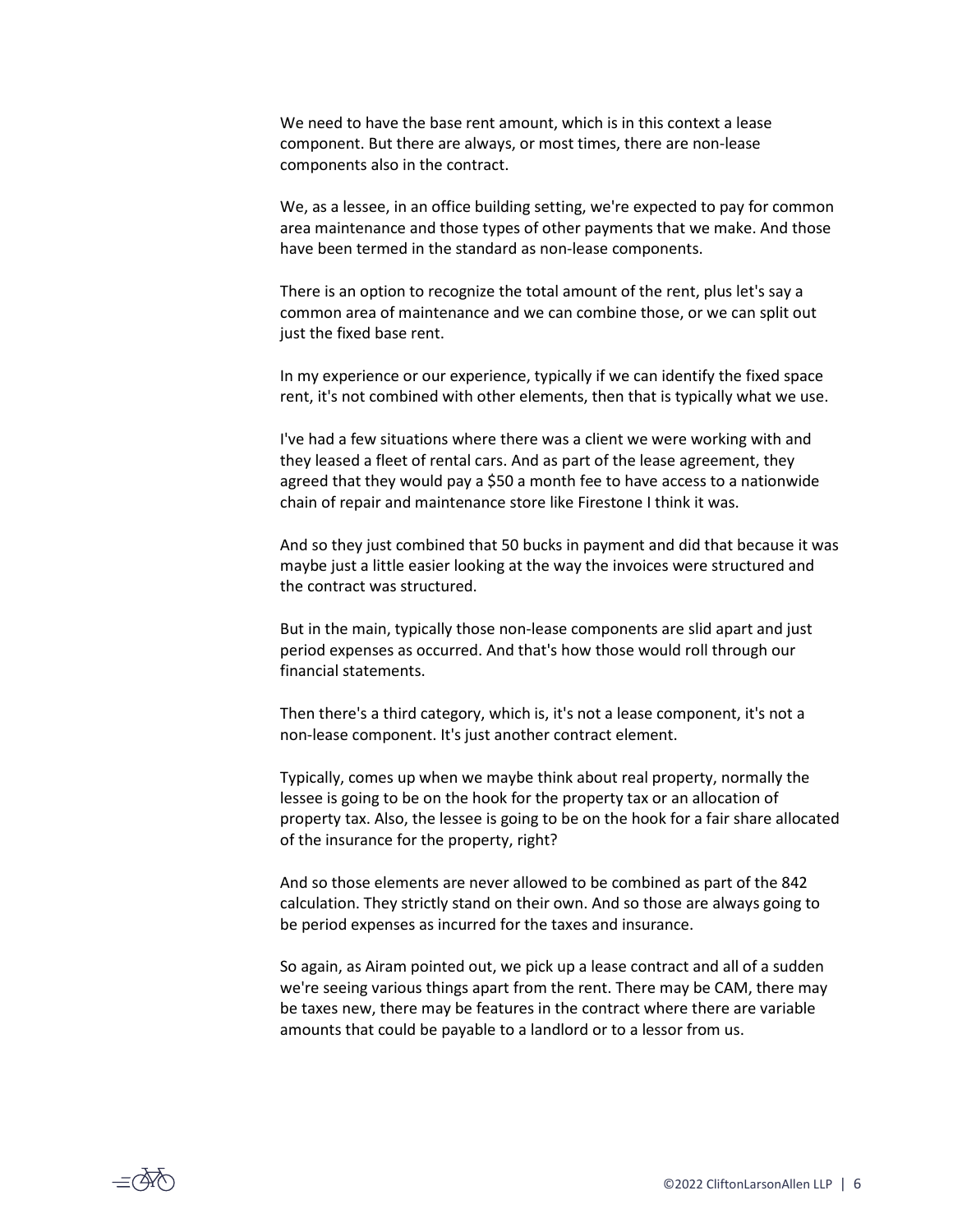We need to have the base rent amount, which is in this context a lease component. But there are always, or most times, there are non-lease components also in the contract.

We, as a lessee, in an office building setting, we're expected to pay for common area maintenance and those types of other payments that we make. And those have been termed in the standard as non-lease components.

There is an option to recognize the total amount of the rent, plus let's say a common area of maintenance and we can combine those, or we can split out just the fixed base rent.

In my experience or our experience, typically if we can identify the fixed space rent, it's not combined with other elements, then that is typically what we use.

I've had a few situations where there was a client we were working with and they leased a fleet of rental cars. And as part of the lease agreement, they agreed that they would pay a \$50 a month fee to have access to a nationwide chain of repair and maintenance store like Firestone I think it was.

And so they just combined that 50 bucks in payment and did that because it was maybe just a little easier looking at the way the invoices were structured and the contract was structured.

But in the main, typically those non-lease components are slid apart and just period expenses as occurred. And that's how those would roll through our financial statements.

Then there's a third category, which is, it's not a lease component, it's not a non-lease component. It's just another contract element.

Typically, comes up when we maybe think about real property, normally the lessee is going to be on the hook for the property tax or an allocation of property tax. Also, the lessee is going to be on the hook for a fair share allocated of the insurance for the property, right?

And so those elements are never allowed to be combined as part of the 842 calculation. They strictly stand on their own. And so those are always going to be period expenses as incurred for the taxes and insurance.

So again, as Airam pointed out, we pick up a lease contract and all of a sudden we're seeing various things apart from the rent. There may be CAM, there may be taxes new, there may be features in the contract where there are variable amounts that could be payable to a landlord or to a lessor from us.

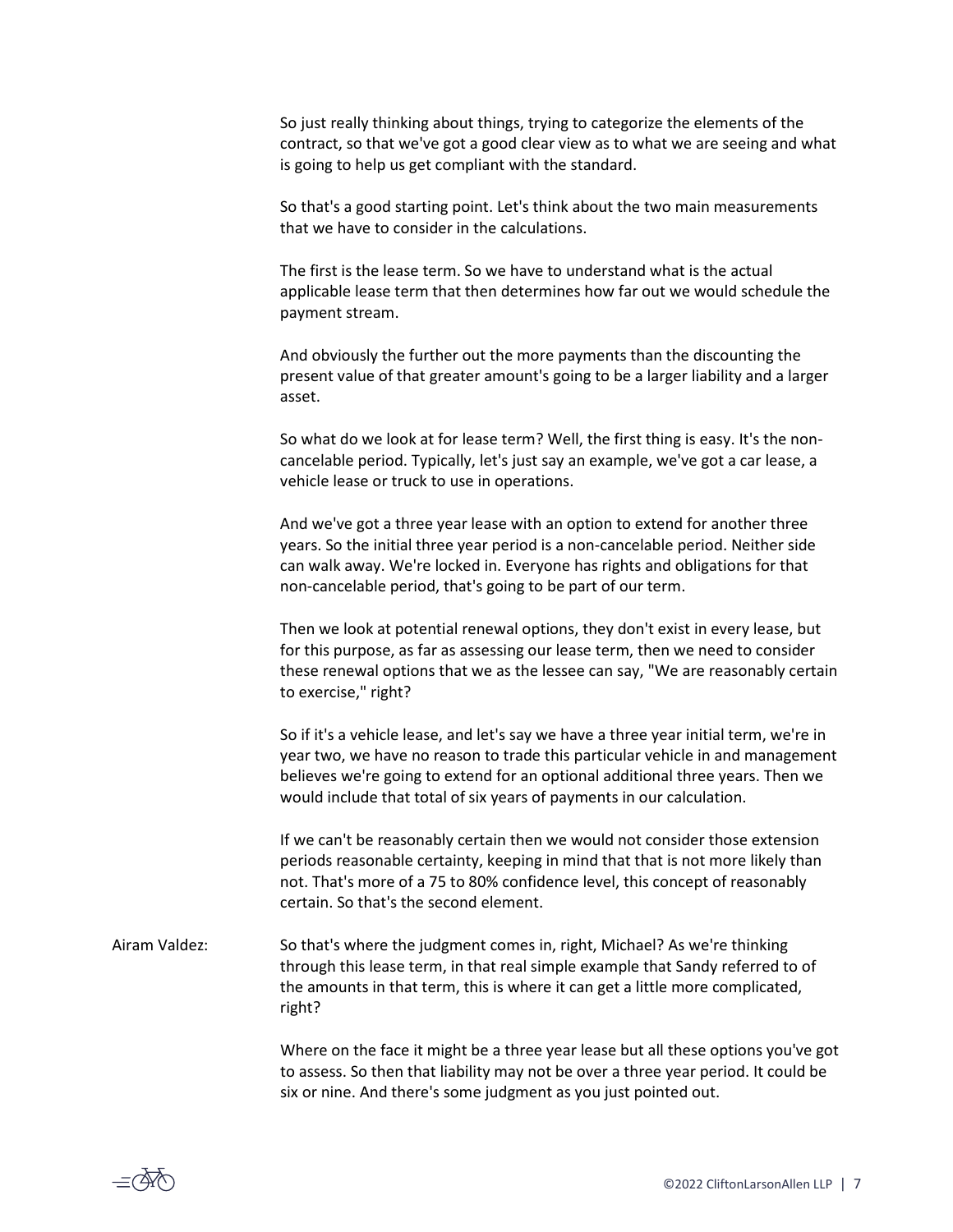So just really thinking about things, trying to categorize the elements of the contract, so that we've got a good clear view as to what we are seeing and what is going to help us get compliant with the standard.

So that's a good starting point. Let's think about the two main measurements that we have to consider in the calculations.

The first is the lease term. So we have to understand what is the actual applicable lease term that then determines how far out we would schedule the payment stream.

And obviously the further out the more payments than the discounting the present value of that greater amount's going to be a larger liability and a larger asset.

So what do we look at for lease term? Well, the first thing is easy. It's the noncancelable period. Typically, let's just say an example, we've got a car lease, a vehicle lease or truck to use in operations.

And we've got a three year lease with an option to extend for another three years. So the initial three year period is a non-cancelable period. Neither side can walk away. We're locked in. Everyone has rights and obligations for that non-cancelable period, that's going to be part of our term.

Then we look at potential renewal options, they don't exist in every lease, but for this purpose, as far as assessing our lease term, then we need to consider these renewal options that we as the lessee can say, "We are reasonably certain to exercise," right?

So if it's a vehicle lease, and let's say we have a three year initial term, we're in year two, we have no reason to trade this particular vehicle in and management believes we're going to extend for an optional additional three years. Then we would include that total of six years of payments in our calculation.

If we can't be reasonably certain then we would not consider those extension periods reasonable certainty, keeping in mind that that is not more likely than not. That's more of a 75 to 80% confidence level, this concept of reasonably certain. So that's the second element.

Airam Valdez: So that's where the judgment comes in, right, Michael? As we're thinking through this lease term, in that real simple example that Sandy referred to of the amounts in that term, this is where it can get a little more complicated, right?

> Where on the face it might be a three year lease but all these options you've got to assess. So then that liability may not be over a three year period. It could be six or nine. And there's some judgment as you just pointed out.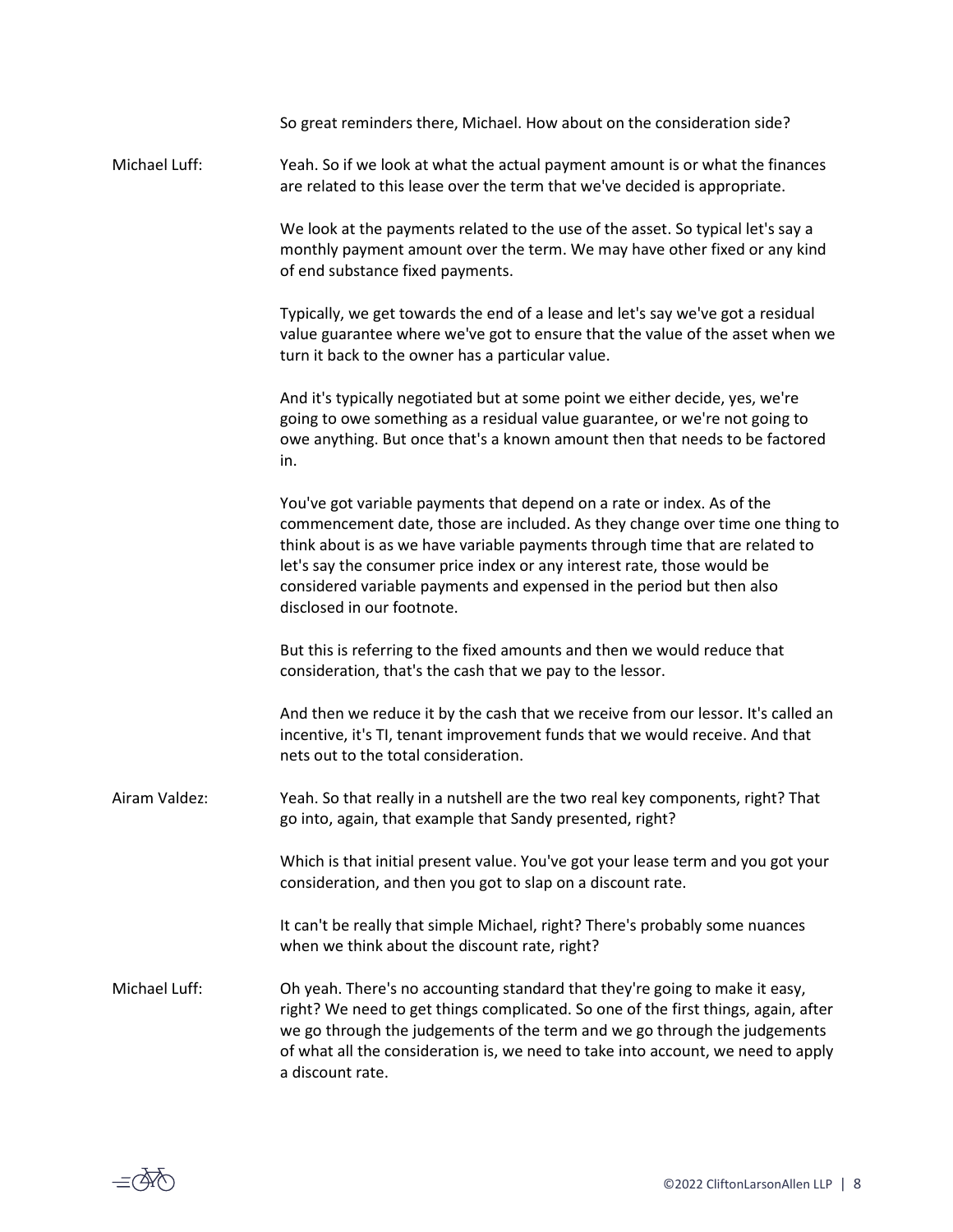|               | So great reminders there, Michael. How about on the consideration side?                                                                                                                                                                                                                                                                                                                                                  |
|---------------|--------------------------------------------------------------------------------------------------------------------------------------------------------------------------------------------------------------------------------------------------------------------------------------------------------------------------------------------------------------------------------------------------------------------------|
| Michael Luff: | Yeah. So if we look at what the actual payment amount is or what the finances<br>are related to this lease over the term that we've decided is appropriate.                                                                                                                                                                                                                                                              |
|               | We look at the payments related to the use of the asset. So typical let's say a<br>monthly payment amount over the term. We may have other fixed or any kind<br>of end substance fixed payments.                                                                                                                                                                                                                         |
|               | Typically, we get towards the end of a lease and let's say we've got a residual<br>value guarantee where we've got to ensure that the value of the asset when we<br>turn it back to the owner has a particular value.                                                                                                                                                                                                    |
|               | And it's typically negotiated but at some point we either decide, yes, we're<br>going to owe something as a residual value guarantee, or we're not going to<br>owe anything. But once that's a known amount then that needs to be factored<br>in.                                                                                                                                                                        |
|               | You've got variable payments that depend on a rate or index. As of the<br>commencement date, those are included. As they change over time one thing to<br>think about is as we have variable payments through time that are related to<br>let's say the consumer price index or any interest rate, those would be<br>considered variable payments and expensed in the period but then also<br>disclosed in our footnote. |
|               | But this is referring to the fixed amounts and then we would reduce that<br>consideration, that's the cash that we pay to the lessor.                                                                                                                                                                                                                                                                                    |
|               | And then we reduce it by the cash that we receive from our lessor. It's called an<br>incentive, it's TI, tenant improvement funds that we would receive. And that<br>nets out to the total consideration.                                                                                                                                                                                                                |
| Airam Valdez: | Yeah. So that really in a nutshell are the two real key components, right? That<br>go into, again, that example that Sandy presented, right?                                                                                                                                                                                                                                                                             |
|               | Which is that initial present value. You've got your lease term and you got your<br>consideration, and then you got to slap on a discount rate.                                                                                                                                                                                                                                                                          |
|               | It can't be really that simple Michael, right? There's probably some nuances<br>when we think about the discount rate, right?                                                                                                                                                                                                                                                                                            |
| Michael Luff: | Oh yeah. There's no accounting standard that they're going to make it easy,<br>right? We need to get things complicated. So one of the first things, again, after<br>we go through the judgements of the term and we go through the judgements<br>of what all the consideration is, we need to take into account, we need to apply<br>a discount rate.                                                                   |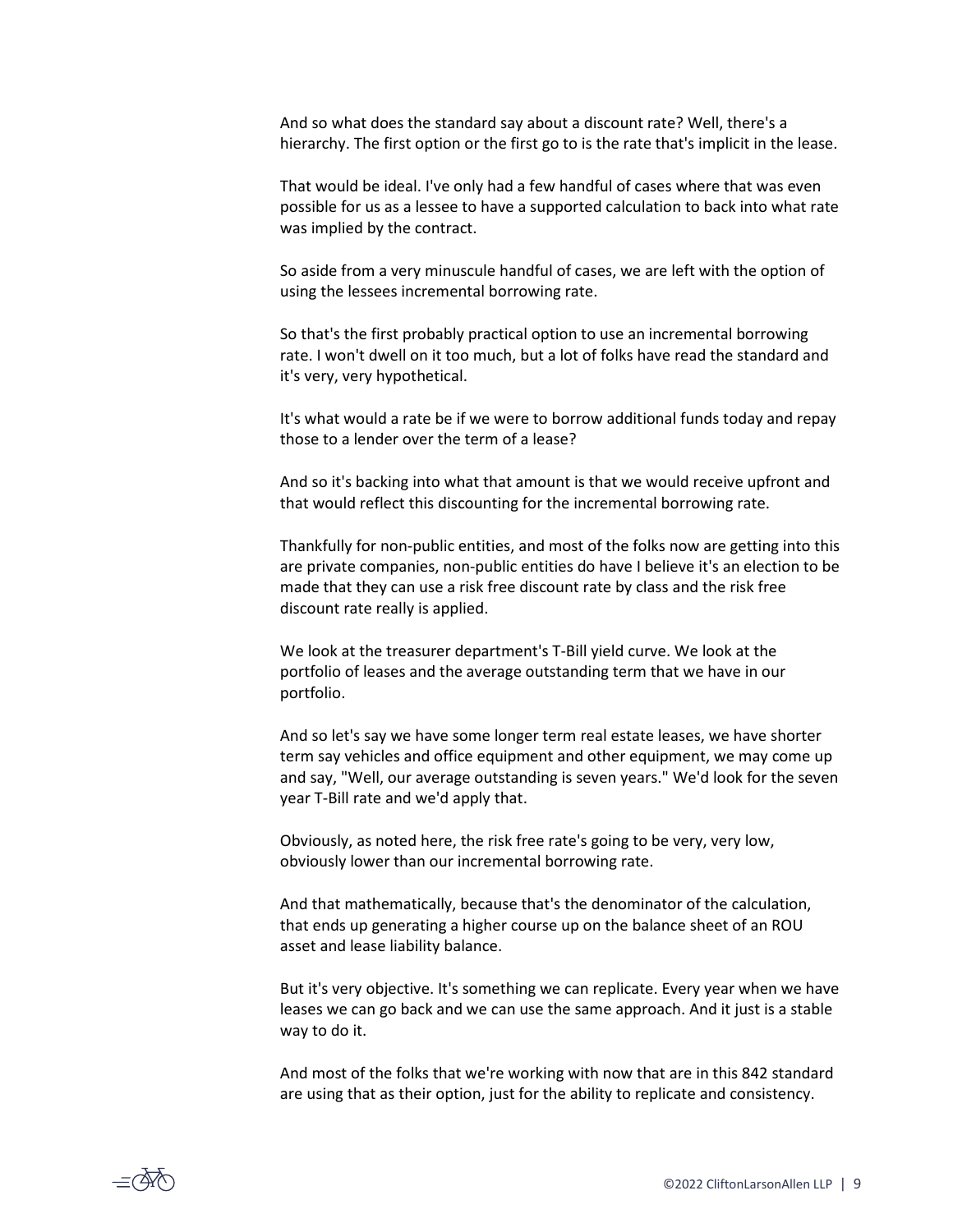And so what does the standard say about a discount rate? Well, there's a hierarchy. The first option or the first go to is the rate that's implicit in the lease.

That would be ideal. I've only had a few handful of cases where that was even possible for us as a lessee to have a supported calculation to back into what rate was implied by the contract.

So aside from a very minuscule handful of cases, we are left with the option of using the lessees incremental borrowing rate.

So that's the first probably practical option to use an incremental borrowing rate. I won't dwell on it too much, but a lot of folks have read the standard and it's very, very hypothetical.

It's what would a rate be if we were to borrow additional funds today and repay those to a lender over the term of a lease?

And so it's backing into what that amount is that we would receive upfront and that would reflect this discounting for the incremental borrowing rate.

Thankfully for non-public entities, and most of the folks now are getting into this are private companies, non-public entities do have I believe it's an election to be made that they can use a risk free discount rate by class and the risk free discount rate really is applied.

We look at the treasurer department's T-Bill yield curve. We look at the portfolio of leases and the average outstanding term that we have in our portfolio.

And so let's say we have some longer term real estate leases, we have shorter term say vehicles and office equipment and other equipment, we may come up and say, "Well, our average outstanding is seven years." We'd look for the seven year T-Bill rate and we'd apply that.

Obviously, as noted here, the risk free rate's going to be very, very low, obviously lower than our incremental borrowing rate.

And that mathematically, because that's the denominator of the calculation, that ends up generating a higher course up on the balance sheet of an ROU asset and lease liability balance.

But it's very objective. It's something we can replicate. Every year when we have leases we can go back and we can use the same approach. And it just is a stable way to do it.

And most of the folks that we're working with now that are in this 842 standard are using that as their option, just for the ability to replicate and consistency.

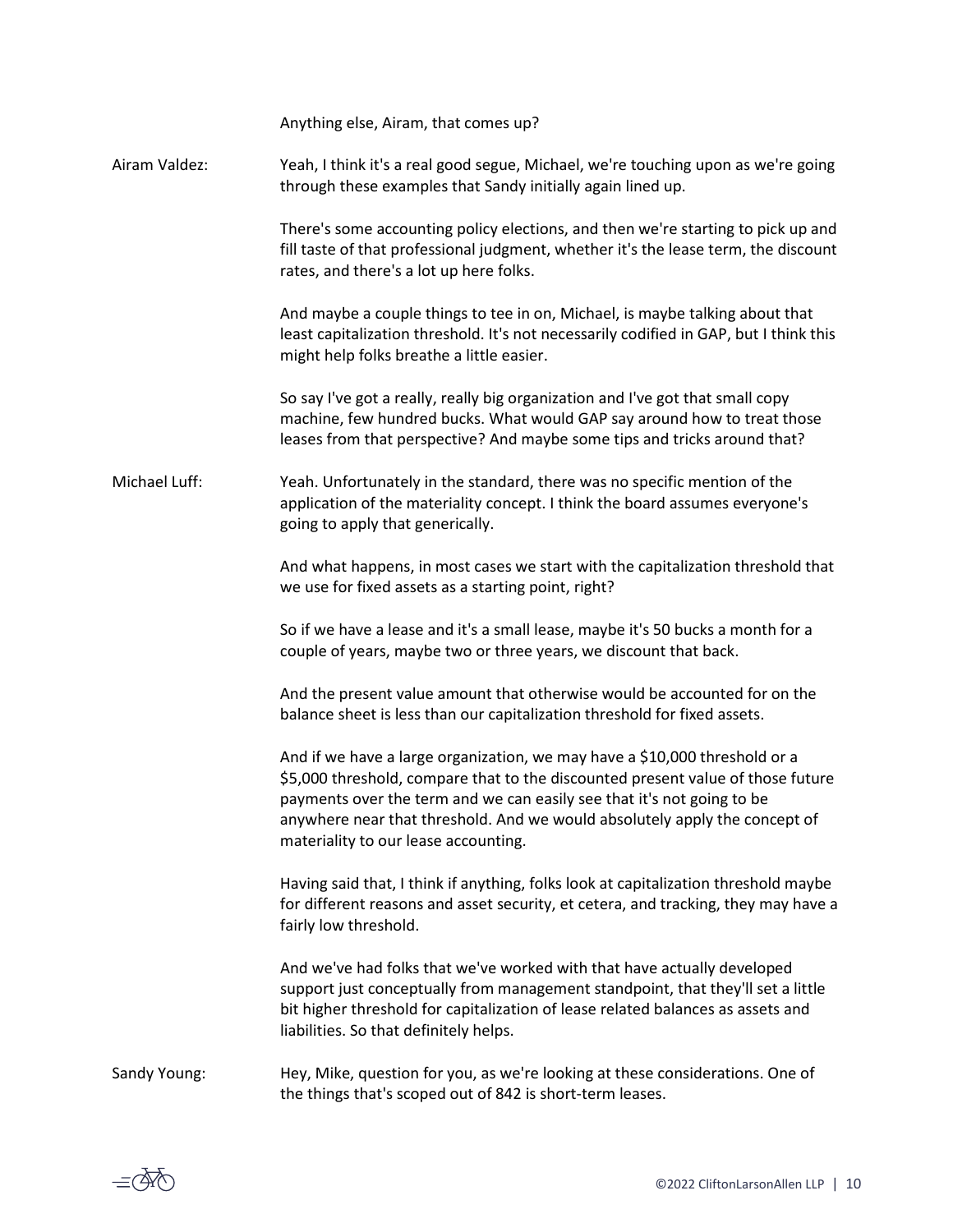|               | Anything else, Airam, that comes up?                                                                                                                                                                                                                                                                                                                          |
|---------------|---------------------------------------------------------------------------------------------------------------------------------------------------------------------------------------------------------------------------------------------------------------------------------------------------------------------------------------------------------------|
| Airam Valdez: | Yeah, I think it's a real good segue, Michael, we're touching upon as we're going<br>through these examples that Sandy initially again lined up.                                                                                                                                                                                                              |
|               | There's some accounting policy elections, and then we're starting to pick up and<br>fill taste of that professional judgment, whether it's the lease term, the discount<br>rates, and there's a lot up here folks.                                                                                                                                            |
|               | And maybe a couple things to tee in on, Michael, is maybe talking about that<br>least capitalization threshold. It's not necessarily codified in GAP, but I think this<br>might help folks breathe a little easier.                                                                                                                                           |
|               | So say I've got a really, really big organization and I've got that small copy<br>machine, few hundred bucks. What would GAP say around how to treat those<br>leases from that perspective? And maybe some tips and tricks around that?                                                                                                                       |
| Michael Luff: | Yeah. Unfortunately in the standard, there was no specific mention of the<br>application of the materiality concept. I think the board assumes everyone's<br>going to apply that generically.                                                                                                                                                                 |
|               | And what happens, in most cases we start with the capitalization threshold that<br>we use for fixed assets as a starting point, right?                                                                                                                                                                                                                        |
|               | So if we have a lease and it's a small lease, maybe it's 50 bucks a month for a<br>couple of years, maybe two or three years, we discount that back.                                                                                                                                                                                                          |
|               | And the present value amount that otherwise would be accounted for on the<br>balance sheet is less than our capitalization threshold for fixed assets.                                                                                                                                                                                                        |
|               | And if we have a large organization, we may have a \$10,000 threshold or a<br>\$5,000 threshold, compare that to the discounted present value of those future<br>payments over the term and we can easily see that it's not going to be<br>anywhere near that threshold. And we would absolutely apply the concept of<br>materiality to our lease accounting. |
|               | Having said that, I think if anything, folks look at capitalization threshold maybe<br>for different reasons and asset security, et cetera, and tracking, they may have a<br>fairly low threshold.                                                                                                                                                            |
|               | And we've had folks that we've worked with that have actually developed<br>support just conceptually from management standpoint, that they'll set a little<br>bit higher threshold for capitalization of lease related balances as assets and<br>liabilities. So that definitely helps.                                                                       |
| Sandy Young:  | Hey, Mike, question for you, as we're looking at these considerations. One of<br>the things that's scoped out of 842 is short-term leases.                                                                                                                                                                                                                    |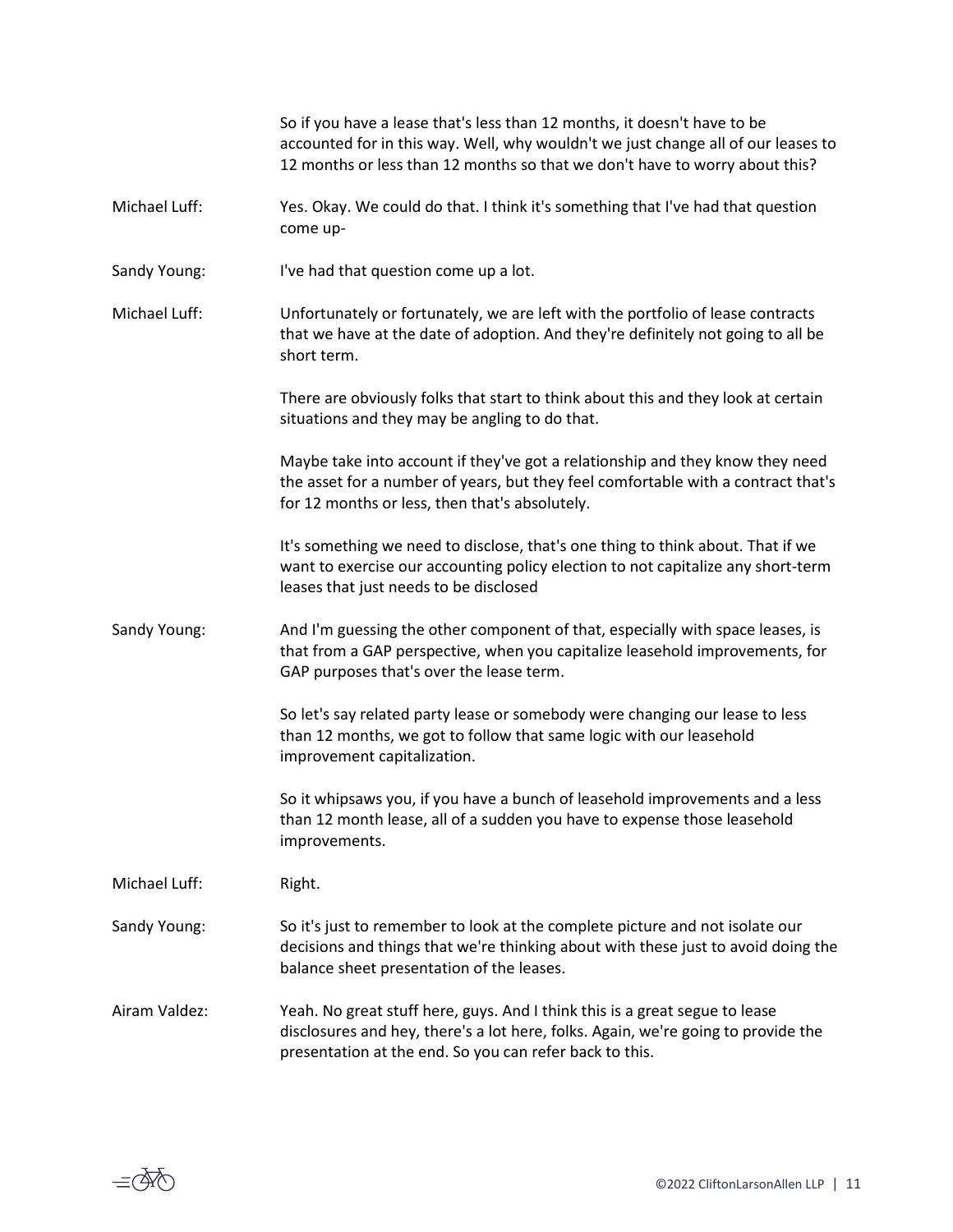|               | So if you have a lease that's less than 12 months, it doesn't have to be<br>accounted for in this way. Well, why wouldn't we just change all of our leases to<br>12 months or less than 12 months so that we don't have to worry about this? |
|---------------|----------------------------------------------------------------------------------------------------------------------------------------------------------------------------------------------------------------------------------------------|
| Michael Luff: | Yes. Okay. We could do that. I think it's something that I've had that question<br>come up-                                                                                                                                                  |
| Sandy Young:  | I've had that question come up a lot.                                                                                                                                                                                                        |
| Michael Luff: | Unfortunately or fortunately, we are left with the portfolio of lease contracts<br>that we have at the date of adoption. And they're definitely not going to all be<br>short term.                                                           |
|               | There are obviously folks that start to think about this and they look at certain<br>situations and they may be angling to do that.                                                                                                          |
|               | Maybe take into account if they've got a relationship and they know they need<br>the asset for a number of years, but they feel comfortable with a contract that's<br>for 12 months or less, then that's absolutely.                         |
|               | It's something we need to disclose, that's one thing to think about. That if we<br>want to exercise our accounting policy election to not capitalize any short-term<br>leases that just needs to be disclosed                                |
| Sandy Young:  | And I'm guessing the other component of that, especially with space leases, is<br>that from a GAP perspective, when you capitalize leasehold improvements, for<br>GAP purposes that's over the lease term.                                   |
|               | So let's say related party lease or somebody were changing our lease to less<br>than 12 months, we got to follow that same logic with our leasehold<br>improvement capitalization.                                                           |
|               | So it whipsaws you, if you have a bunch of leasehold improvements and a less<br>than 12 month lease, all of a sudden you have to expense those leasehold<br>improvements.                                                                    |
| Michael Luff: | Right.                                                                                                                                                                                                                                       |
| Sandy Young:  | So it's just to remember to look at the complete picture and not isolate our<br>decisions and things that we're thinking about with these just to avoid doing the<br>balance sheet presentation of the leases.                               |
| Airam Valdez: | Yeah. No great stuff here, guys. And I think this is a great segue to lease<br>disclosures and hey, there's a lot here, folks. Again, we're going to provide the<br>presentation at the end. So you can refer back to this.                  |

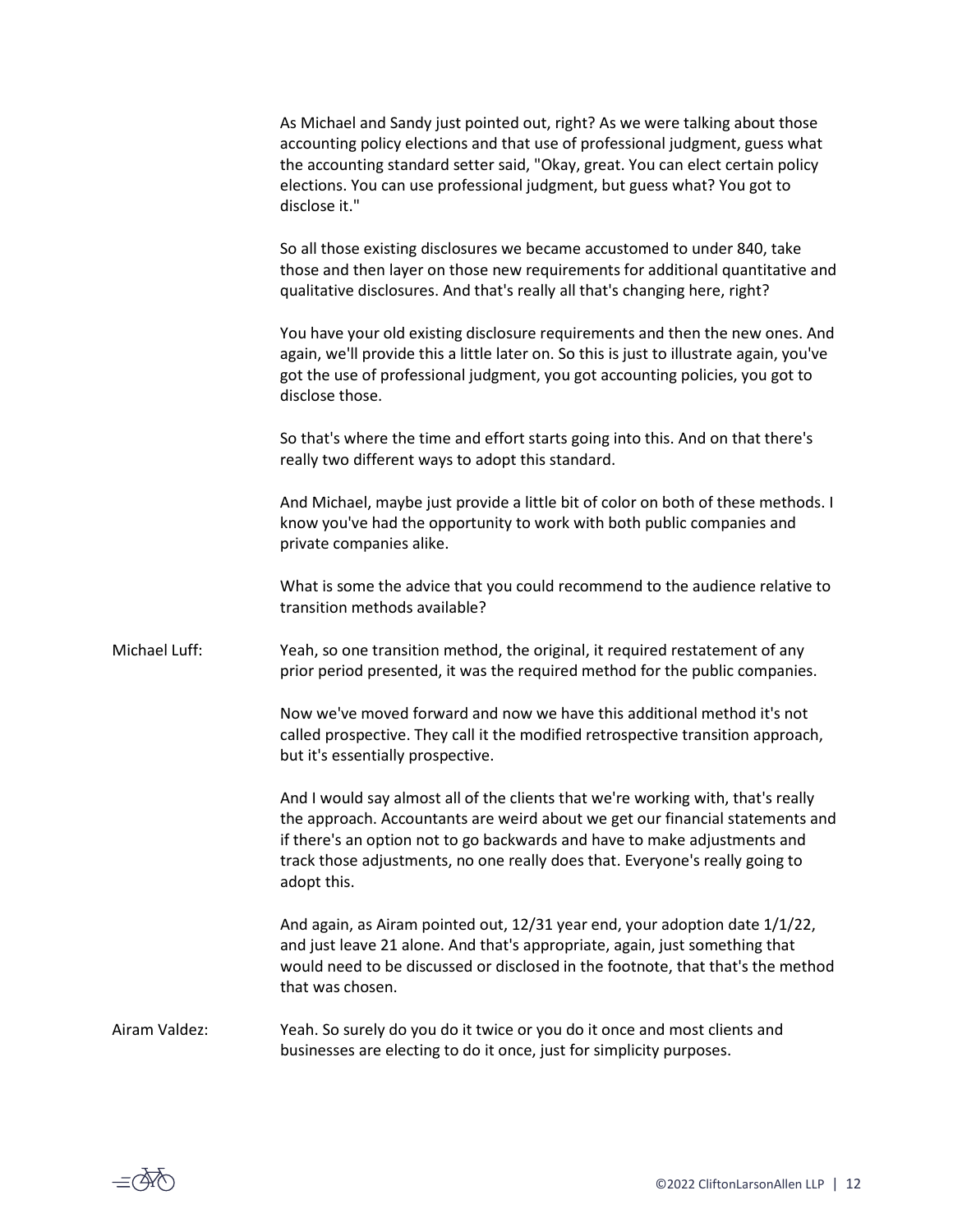|               | As Michael and Sandy just pointed out, right? As we were talking about those<br>accounting policy elections and that use of professional judgment, guess what<br>the accounting standard setter said, "Okay, great. You can elect certain policy<br>elections. You can use professional judgment, but guess what? You got to<br>disclose it." |
|---------------|-----------------------------------------------------------------------------------------------------------------------------------------------------------------------------------------------------------------------------------------------------------------------------------------------------------------------------------------------|
|               | So all those existing disclosures we became accustomed to under 840, take<br>those and then layer on those new requirements for additional quantitative and<br>qualitative disclosures. And that's really all that's changing here, right?                                                                                                    |
|               | You have your old existing disclosure requirements and then the new ones. And<br>again, we'll provide this a little later on. So this is just to illustrate again, you've<br>got the use of professional judgment, you got accounting policies, you got to<br>disclose those.                                                                 |
|               | So that's where the time and effort starts going into this. And on that there's<br>really two different ways to adopt this standard.                                                                                                                                                                                                          |
|               | And Michael, maybe just provide a little bit of color on both of these methods. I<br>know you've had the opportunity to work with both public companies and<br>private companies alike.                                                                                                                                                       |
|               | What is some the advice that you could recommend to the audience relative to<br>transition methods available?                                                                                                                                                                                                                                 |
| Michael Luff: | Yeah, so one transition method, the original, it required restatement of any<br>prior period presented, it was the required method for the public companies.                                                                                                                                                                                  |
|               | Now we've moved forward and now we have this additional method it's not<br>called prospective. They call it the modified retrospective transition approach,<br>but it's essentially prospective.                                                                                                                                              |
|               | And I would say almost all of the clients that we're working with, that's really<br>the approach. Accountants are weird about we get our financial statements and<br>if there's an option not to go backwards and have to make adjustments and<br>track those adjustments, no one really does that. Everyone's really going to<br>adopt this. |
|               | And again, as Airam pointed out, 12/31 year end, your adoption date 1/1/22,<br>and just leave 21 alone. And that's appropriate, again, just something that<br>would need to be discussed or disclosed in the footnote, that that's the method<br>that was chosen.                                                                             |
| Airam Valdez: | Yeah. So surely do you do it twice or you do it once and most clients and<br>businesses are electing to do it once, just for simplicity purposes.                                                                                                                                                                                             |

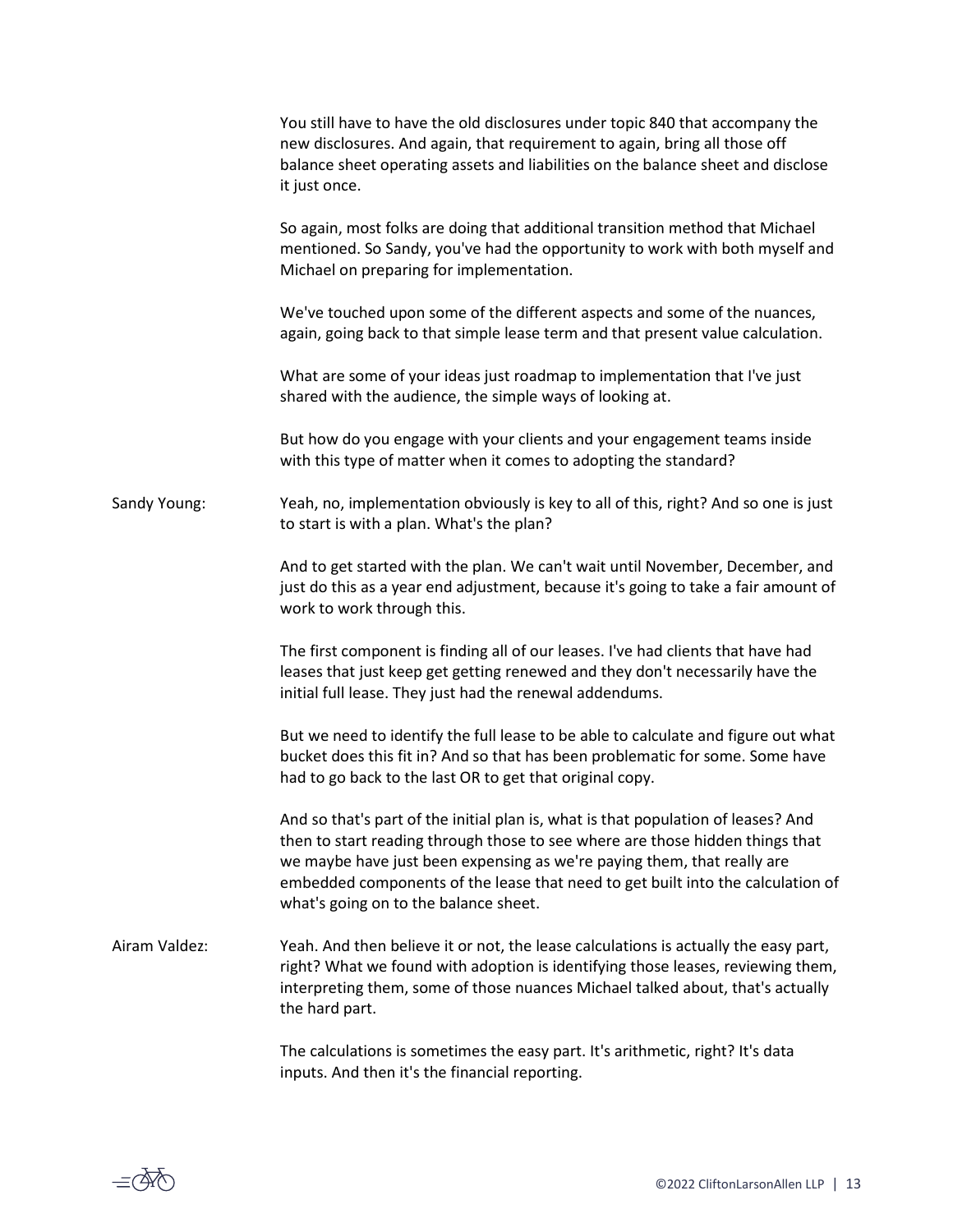|               | You still have to have the old disclosures under topic 840 that accompany the<br>new disclosures. And again, that requirement to again, bring all those off<br>balance sheet operating assets and liabilities on the balance sheet and disclose<br>it just once.                                                                                                          |
|---------------|---------------------------------------------------------------------------------------------------------------------------------------------------------------------------------------------------------------------------------------------------------------------------------------------------------------------------------------------------------------------------|
|               | So again, most folks are doing that additional transition method that Michael<br>mentioned. So Sandy, you've had the opportunity to work with both myself and<br>Michael on preparing for implementation.                                                                                                                                                                 |
|               | We've touched upon some of the different aspects and some of the nuances,<br>again, going back to that simple lease term and that present value calculation.                                                                                                                                                                                                              |
|               | What are some of your ideas just roadmap to implementation that I've just<br>shared with the audience, the simple ways of looking at.                                                                                                                                                                                                                                     |
|               | But how do you engage with your clients and your engagement teams inside<br>with this type of matter when it comes to adopting the standard?                                                                                                                                                                                                                              |
| Sandy Young:  | Yeah, no, implementation obviously is key to all of this, right? And so one is just<br>to start is with a plan. What's the plan?                                                                                                                                                                                                                                          |
|               | And to get started with the plan. We can't wait until November, December, and<br>just do this as a year end adjustment, because it's going to take a fair amount of<br>work to work through this.                                                                                                                                                                         |
|               | The first component is finding all of our leases. I've had clients that have had<br>leases that just keep get getting renewed and they don't necessarily have the<br>initial full lease. They just had the renewal addendums.                                                                                                                                             |
|               | But we need to identify the full lease to be able to calculate and figure out what<br>bucket does this fit in? And so that has been problematic for some. Some have<br>had to go back to the last OR to get that original copy.                                                                                                                                           |
|               | And so that's part of the initial plan is, what is that population of leases? And<br>then to start reading through those to see where are those hidden things that<br>we maybe have just been expensing as we're paying them, that really are<br>embedded components of the lease that need to get built into the calculation of<br>what's going on to the balance sheet. |
| Airam Valdez: | Yeah. And then believe it or not, the lease calculations is actually the easy part,<br>right? What we found with adoption is identifying those leases, reviewing them,<br>interpreting them, some of those nuances Michael talked about, that's actually<br>the hard part.                                                                                                |
|               | The calculations is sometimes the easy part. It's arithmetic, right? It's data<br>inputs. And then it's the financial reporting.                                                                                                                                                                                                                                          |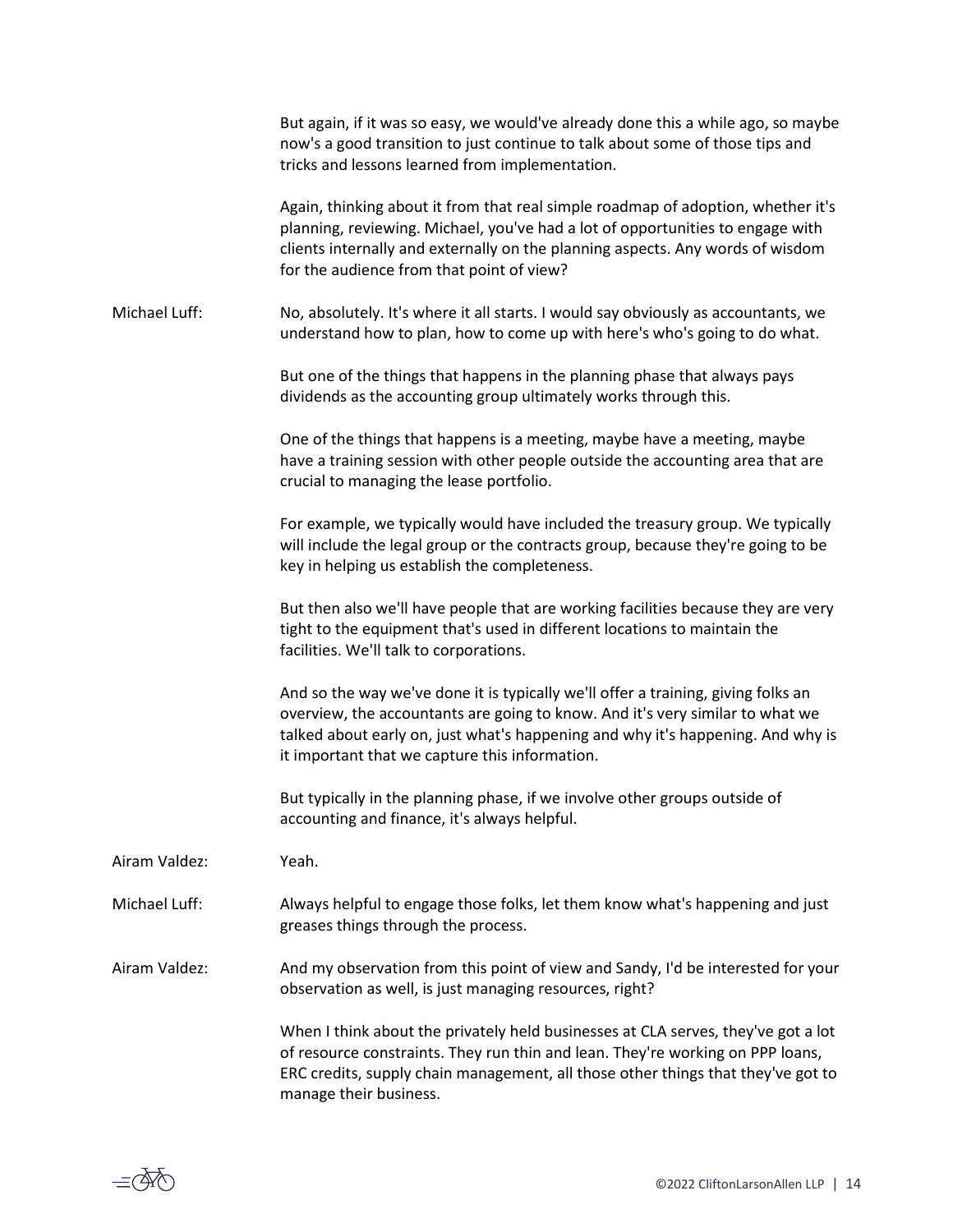|               | But again, if it was so easy, we would've already done this a while ago, so maybe<br>now's a good transition to just continue to talk about some of those tips and<br>tricks and lessons learned from implementation.                                                                                   |
|---------------|---------------------------------------------------------------------------------------------------------------------------------------------------------------------------------------------------------------------------------------------------------------------------------------------------------|
|               | Again, thinking about it from that real simple roadmap of adoption, whether it's<br>planning, reviewing. Michael, you've had a lot of opportunities to engage with<br>clients internally and externally on the planning aspects. Any words of wisdom<br>for the audience from that point of view?       |
| Michael Luff: | No, absolutely. It's where it all starts. I would say obviously as accountants, we<br>understand how to plan, how to come up with here's who's going to do what.                                                                                                                                        |
|               | But one of the things that happens in the planning phase that always pays<br>dividends as the accounting group ultimately works through this.                                                                                                                                                           |
|               | One of the things that happens is a meeting, maybe have a meeting, maybe<br>have a training session with other people outside the accounting area that are<br>crucial to managing the lease portfolio.                                                                                                  |
|               | For example, we typically would have included the treasury group. We typically<br>will include the legal group or the contracts group, because they're going to be<br>key in helping us establish the completeness.                                                                                     |
|               | But then also we'll have people that are working facilities because they are very<br>tight to the equipment that's used in different locations to maintain the<br>facilities. We'll talk to corporations.                                                                                               |
|               | And so the way we've done it is typically we'll offer a training, giving folks an<br>overview, the accountants are going to know. And it's very similar to what we<br>talked about early on, just what's happening and why it's happening. And why is<br>it important that we capture this information. |
|               | But typically in the planning phase, if we involve other groups outside of<br>accounting and finance, it's always helpful.                                                                                                                                                                              |
| Airam Valdez: | Yeah.                                                                                                                                                                                                                                                                                                   |
| Michael Luff: | Always helpful to engage those folks, let them know what's happening and just<br>greases things through the process.                                                                                                                                                                                    |
| Airam Valdez: | And my observation from this point of view and Sandy, I'd be interested for your<br>observation as well, is just managing resources, right?                                                                                                                                                             |
|               | When I think about the privately held businesses at CLA serves, they've got a lot<br>of resource constraints. They run thin and lean. They're working on PPP loans,<br>ERC credits, supply chain management, all those other things that they've got to<br>manage their business.                       |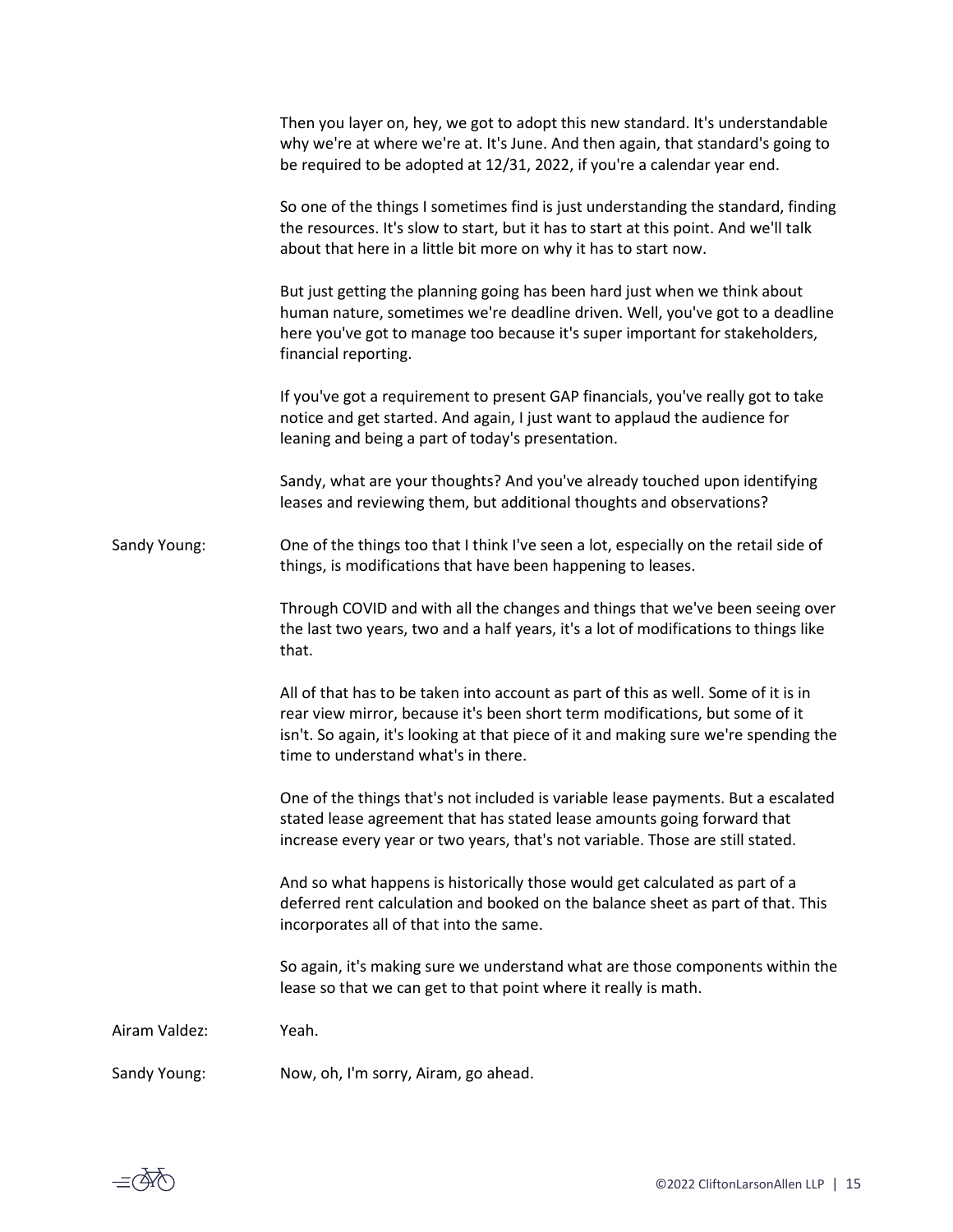|               | Then you layer on, hey, we got to adopt this new standard. It's understandable<br>why we're at where we're at. It's June. And then again, that standard's going to<br>be required to be adopted at 12/31, 2022, if you're a calendar year end.                                                    |
|---------------|---------------------------------------------------------------------------------------------------------------------------------------------------------------------------------------------------------------------------------------------------------------------------------------------------|
|               | So one of the things I sometimes find is just understanding the standard, finding<br>the resources. It's slow to start, but it has to start at this point. And we'll talk<br>about that here in a little bit more on why it has to start now.                                                     |
|               | But just getting the planning going has been hard just when we think about<br>human nature, sometimes we're deadline driven. Well, you've got to a deadline<br>here you've got to manage too because it's super important for stakeholders,<br>financial reporting.                               |
|               | If you've got a requirement to present GAP financials, you've really got to take<br>notice and get started. And again, I just want to applaud the audience for<br>leaning and being a part of today's presentation.                                                                               |
|               | Sandy, what are your thoughts? And you've already touched upon identifying<br>leases and reviewing them, but additional thoughts and observations?                                                                                                                                                |
| Sandy Young:  | One of the things too that I think I've seen a lot, especially on the retail side of<br>things, is modifications that have been happening to leases.                                                                                                                                              |
|               | Through COVID and with all the changes and things that we've been seeing over<br>the last two years, two and a half years, it's a lot of modifications to things like<br>that.                                                                                                                    |
|               | All of that has to be taken into account as part of this as well. Some of it is in<br>rear view mirror, because it's been short term modifications, but some of it<br>isn't. So again, it's looking at that piece of it and making sure we're spending the<br>time to understand what's in there. |
|               | One of the things that's not included is variable lease payments. But a escalated<br>stated lease agreement that has stated lease amounts going forward that<br>increase every year or two years, that's not variable. Those are still stated.                                                    |
|               | And so what happens is historically those would get calculated as part of a<br>deferred rent calculation and booked on the balance sheet as part of that. This<br>incorporates all of that into the same.                                                                                         |
|               | So again, it's making sure we understand what are those components within the<br>lease so that we can get to that point where it really is math.                                                                                                                                                  |
| Airam Valdez: | Yeah.                                                                                                                                                                                                                                                                                             |
| Sandy Young:  | Now, oh, I'm sorry, Airam, go ahead.                                                                                                                                                                                                                                                              |

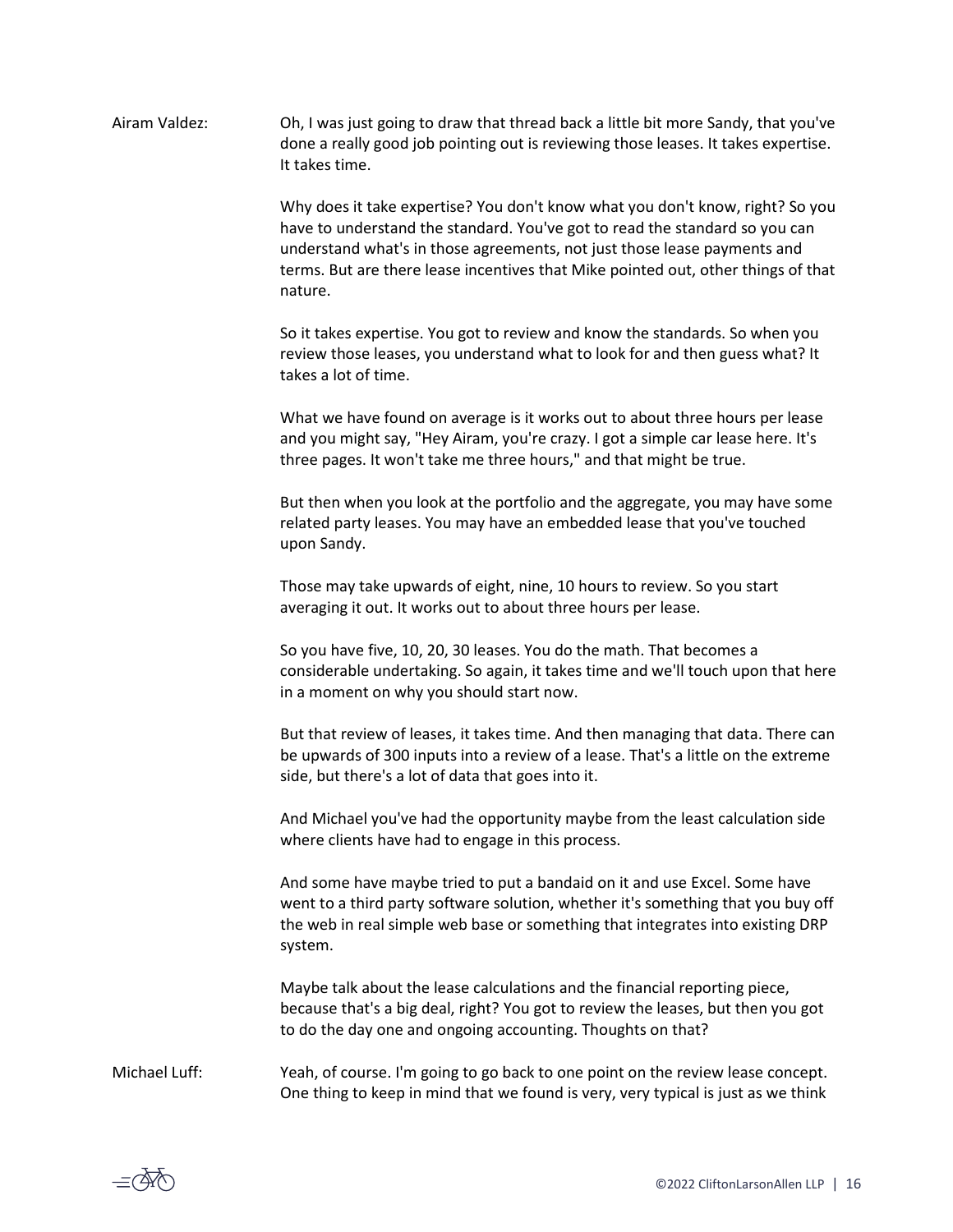Airam Valdez: Oh, I was just going to draw that thread back a little bit more Sandy, that you've done a really good job pointing out is reviewing those leases. It takes expertise. It takes time.

> Why does it take expertise? You don't know what you don't know, right? So you have to understand the standard. You've got to read the standard so you can understand what's in those agreements, not just those lease payments and terms. But are there lease incentives that Mike pointed out, other things of that nature.

So it takes expertise. You got to review and know the standards. So when you review those leases, you understand what to look for and then guess what? It takes a lot of time.

What we have found on average is it works out to about three hours per lease and you might say, "Hey Airam, you're crazy. I got a simple car lease here. It's three pages. It won't take me three hours," and that might be true.

But then when you look at the portfolio and the aggregate, you may have some related party leases. You may have an embedded lease that you've touched upon Sandy.

Those may take upwards of eight, nine, 10 hours to review. So you start averaging it out. It works out to about three hours per lease.

So you have five, 10, 20, 30 leases. You do the math. That becomes a considerable undertaking. So again, it takes time and we'll touch upon that here in a moment on why you should start now.

But that review of leases, it takes time. And then managing that data. There can be upwards of 300 inputs into a review of a lease. That's a little on the extreme side, but there's a lot of data that goes into it.

And Michael you've had the opportunity maybe from the least calculation side where clients have had to engage in this process.

And some have maybe tried to put a bandaid on it and use Excel. Some have went to a third party software solution, whether it's something that you buy off the web in real simple web base or something that integrates into existing DRP system.

Maybe talk about the lease calculations and the financial reporting piece, because that's a big deal, right? You got to review the leases, but then you got to do the day one and ongoing accounting. Thoughts on that?

Michael Luff: Yeah, of course. I'm going to go back to one point on the review lease concept. One thing to keep in mind that we found is very, very typical is just as we think

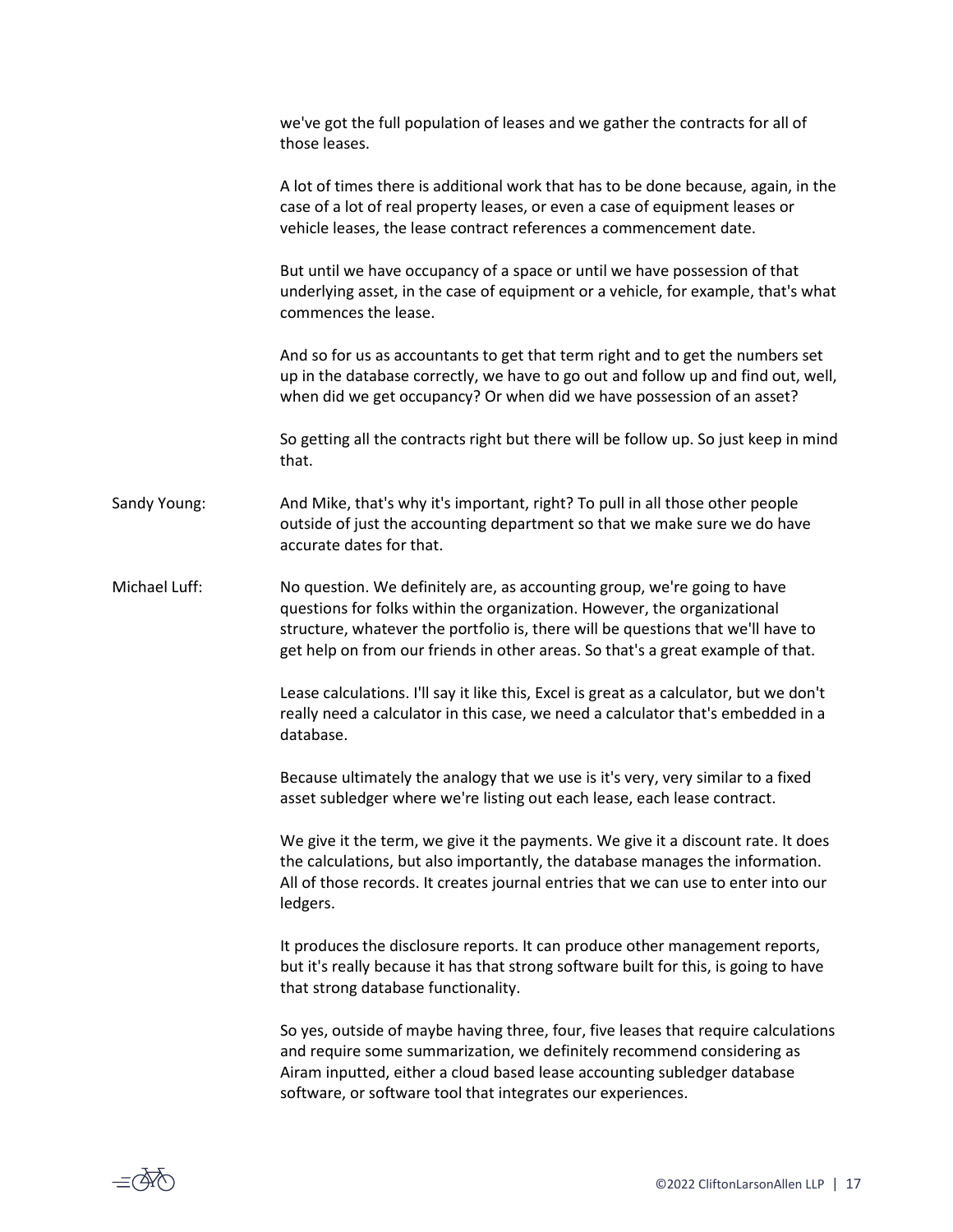|               | we've got the full population of leases and we gather the contracts for all of<br>those leases.                                                                                                                                                                                                                             |
|---------------|-----------------------------------------------------------------------------------------------------------------------------------------------------------------------------------------------------------------------------------------------------------------------------------------------------------------------------|
|               | A lot of times there is additional work that has to be done because, again, in the<br>case of a lot of real property leases, or even a case of equipment leases or<br>vehicle leases, the lease contract references a commencement date.                                                                                    |
|               | But until we have occupancy of a space or until we have possession of that<br>underlying asset, in the case of equipment or a vehicle, for example, that's what<br>commences the lease.                                                                                                                                     |
|               | And so for us as accountants to get that term right and to get the numbers set<br>up in the database correctly, we have to go out and follow up and find out, well,<br>when did we get occupancy? Or when did we have possession of an asset?                                                                               |
|               | So getting all the contracts right but there will be follow up. So just keep in mind<br>that.                                                                                                                                                                                                                               |
| Sandy Young:  | And Mike, that's why it's important, right? To pull in all those other people<br>outside of just the accounting department so that we make sure we do have<br>accurate dates for that.                                                                                                                                      |
| Michael Luff: | No question. We definitely are, as accounting group, we're going to have<br>questions for folks within the organization. However, the organizational<br>structure, whatever the portfolio is, there will be questions that we'll have to<br>get help on from our friends in other areas. So that's a great example of that. |
|               | Lease calculations. I'll say it like this, Excel is great as a calculator, but we don't<br>really need a calculator in this case, we need a calculator that's embedded in a<br>database.                                                                                                                                    |
|               | Because ultimately the analogy that we use is it's very, very similar to a fixed<br>asset subledger where we're listing out each lease, each lease contract.                                                                                                                                                                |
|               | We give it the term, we give it the payments. We give it a discount rate. It does<br>the calculations, but also importantly, the database manages the information.<br>All of those records. It creates journal entries that we can use to enter into our<br>ledgers.                                                        |
|               | It produces the disclosure reports. It can produce other management reports,<br>but it's really because it has that strong software built for this, is going to have<br>that strong database functionality.                                                                                                                 |
|               | So yes, outside of maybe having three, four, five leases that require calculations<br>and require some summarization, we definitely recommend considering as<br>Airam inputted, either a cloud based lease accounting subledger database<br>software, or software tool that integrates our experiences.                     |

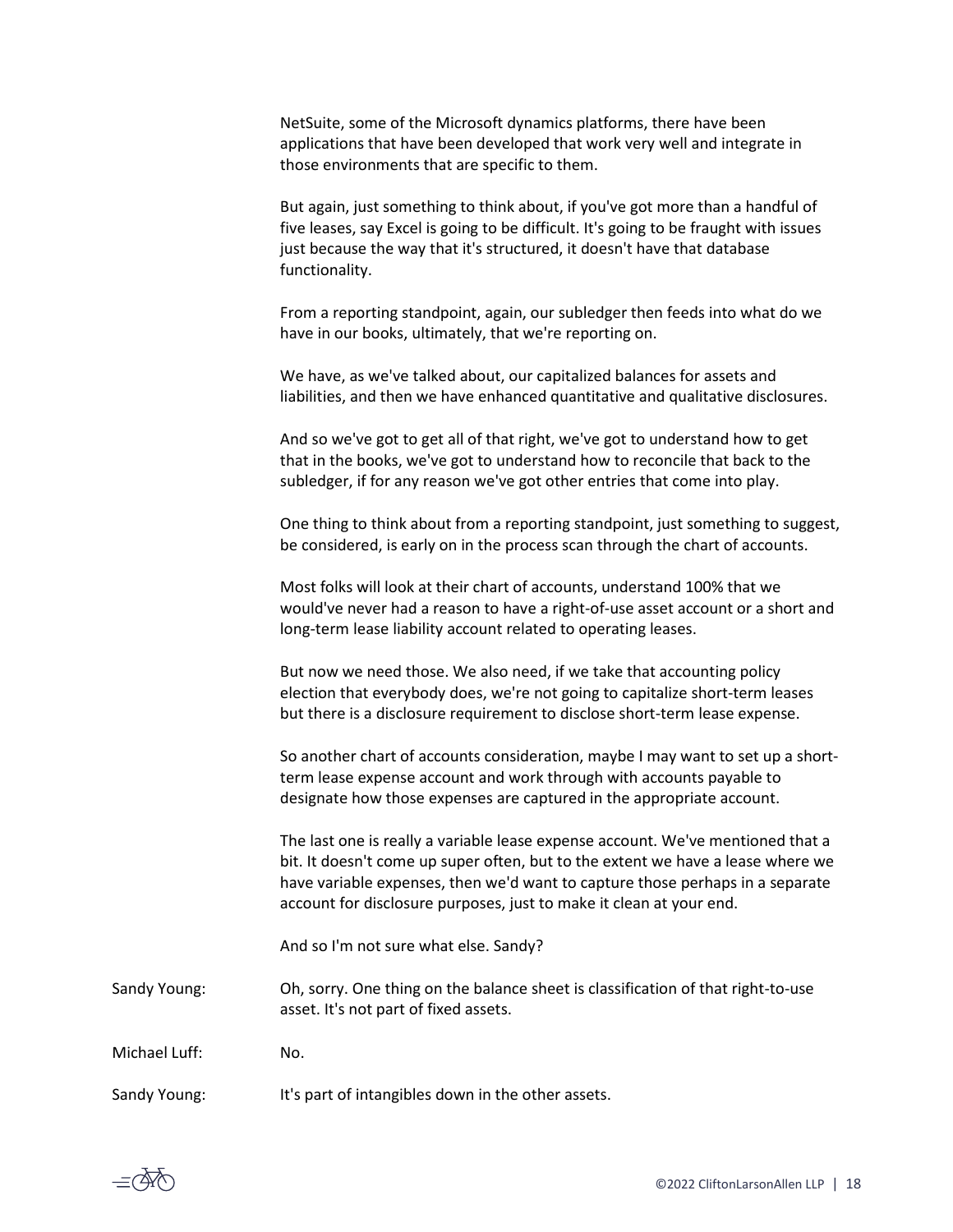NetSuite, some of the Microsoft dynamics platforms, there have been applications that have been developed that work very well and integrate in those environments that are specific to them.

But again, just something to think about, if you've got more than a handful of five leases, say Excel is going to be difficult. It's going to be fraught with issues just because the way that it's structured, it doesn't have that database functionality.

From a reporting standpoint, again, our subledger then feeds into what do we have in our books, ultimately, that we're reporting on.

We have, as we've talked about, our capitalized balances for assets and liabilities, and then we have enhanced quantitative and qualitative disclosures.

And so we've got to get all of that right, we've got to understand how to get that in the books, we've got to understand how to reconcile that back to the subledger, if for any reason we've got other entries that come into play.

One thing to think about from a reporting standpoint, just something to suggest, be considered, is early on in the process scan through the chart of accounts.

Most folks will look at their chart of accounts, understand 100% that we would've never had a reason to have a right-of-use asset account or a short and long-term lease liability account related to operating leases.

But now we need those. We also need, if we take that accounting policy election that everybody does, we're not going to capitalize short-term leases but there is a disclosure requirement to disclose short-term lease expense.

So another chart of accounts consideration, maybe I may want to set up a shortterm lease expense account and work through with accounts payable to designate how those expenses are captured in the appropriate account.

The last one is really a variable lease expense account. We've mentioned that a bit. It doesn't come up super often, but to the extent we have a lease where we have variable expenses, then we'd want to capture those perhaps in a separate account for disclosure purposes, just to make it clean at your end.

And so I'm not sure what else. Sandy?

Sandy Young: Oh, sorry. One thing on the balance sheet is classification of that right-to-use asset. It's not part of fixed assets.

Michael Luff: No.

Sandy Young: It's part of intangibles down in the other assets.

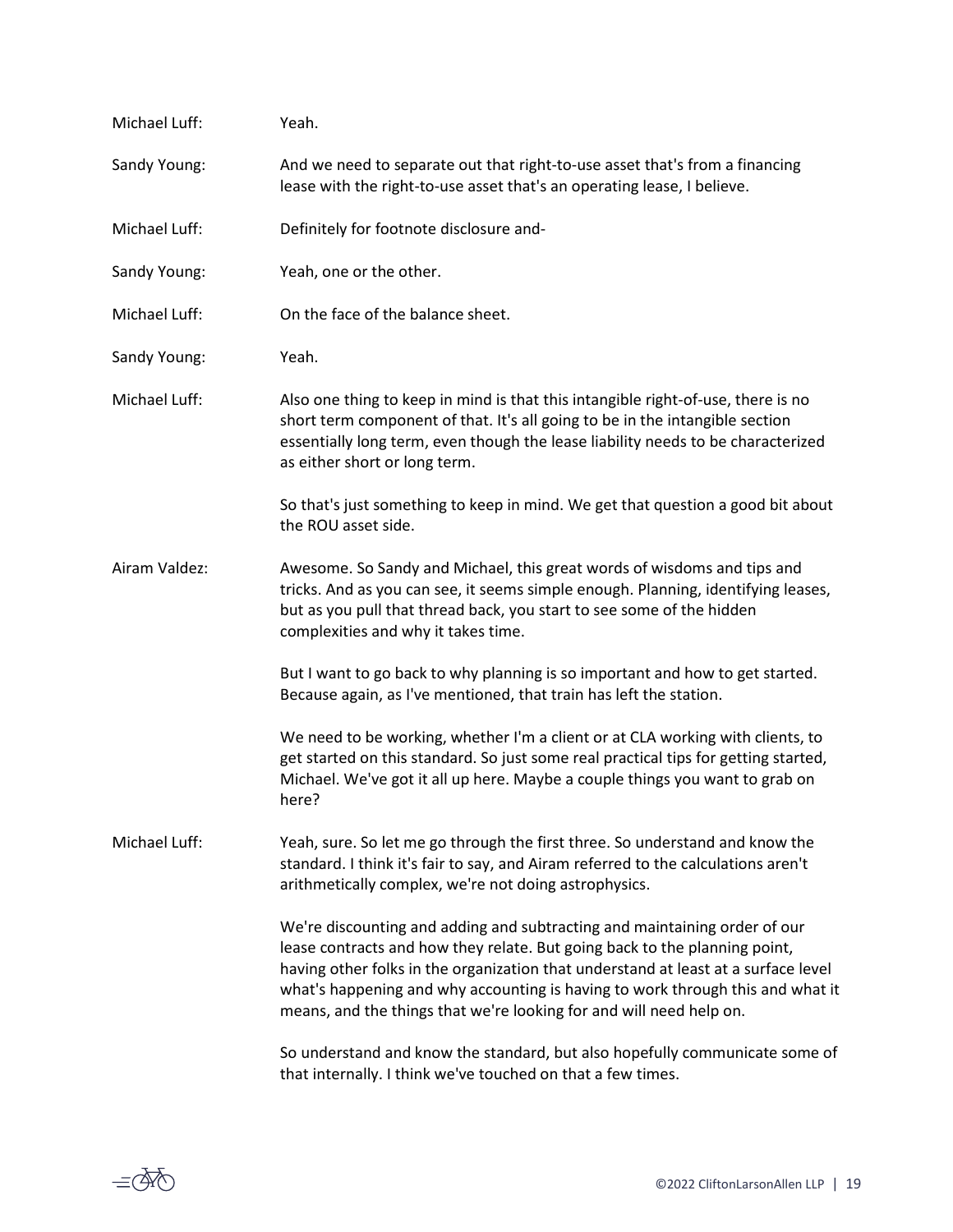| Michael Luff: | Yeah.                                                                                                                                                                                                                                                                                                                                                                                                  |
|---------------|--------------------------------------------------------------------------------------------------------------------------------------------------------------------------------------------------------------------------------------------------------------------------------------------------------------------------------------------------------------------------------------------------------|
| Sandy Young:  | And we need to separate out that right-to-use asset that's from a financing<br>lease with the right-to-use asset that's an operating lease, I believe.                                                                                                                                                                                                                                                 |
| Michael Luff: | Definitely for footnote disclosure and-                                                                                                                                                                                                                                                                                                                                                                |
| Sandy Young:  | Yeah, one or the other.                                                                                                                                                                                                                                                                                                                                                                                |
| Michael Luff: | On the face of the balance sheet.                                                                                                                                                                                                                                                                                                                                                                      |
| Sandy Young:  | Yeah.                                                                                                                                                                                                                                                                                                                                                                                                  |
| Michael Luff: | Also one thing to keep in mind is that this intangible right-of-use, there is no<br>short term component of that. It's all going to be in the intangible section<br>essentially long term, even though the lease liability needs to be characterized<br>as either short or long term.                                                                                                                  |
|               | So that's just something to keep in mind. We get that question a good bit about<br>the ROU asset side.                                                                                                                                                                                                                                                                                                 |
| Airam Valdez: | Awesome. So Sandy and Michael, this great words of wisdoms and tips and<br>tricks. And as you can see, it seems simple enough. Planning, identifying leases,<br>but as you pull that thread back, you start to see some of the hidden<br>complexities and why it takes time.                                                                                                                           |
|               | But I want to go back to why planning is so important and how to get started.<br>Because again, as I've mentioned, that train has left the station.                                                                                                                                                                                                                                                    |
|               | We need to be working, whether I'm a client or at CLA working with clients, to<br>get started on this standard. So just some real practical tips for getting started,<br>Michael. We've got it all up here. Maybe a couple things you want to grab on<br>here?                                                                                                                                         |
| Michael Luff: | Yeah, sure. So let me go through the first three. So understand and know the<br>standard. I think it's fair to say, and Airam referred to the calculations aren't<br>arithmetically complex, we're not doing astrophysics.                                                                                                                                                                             |
|               | We're discounting and adding and subtracting and maintaining order of our<br>lease contracts and how they relate. But going back to the planning point,<br>having other folks in the organization that understand at least at a surface level<br>what's happening and why accounting is having to work through this and what it<br>means, and the things that we're looking for and will need help on. |
|               | So understand and know the standard, but also hopefully communicate some of<br>that internally. I think we've touched on that a few times.                                                                                                                                                                                                                                                             |

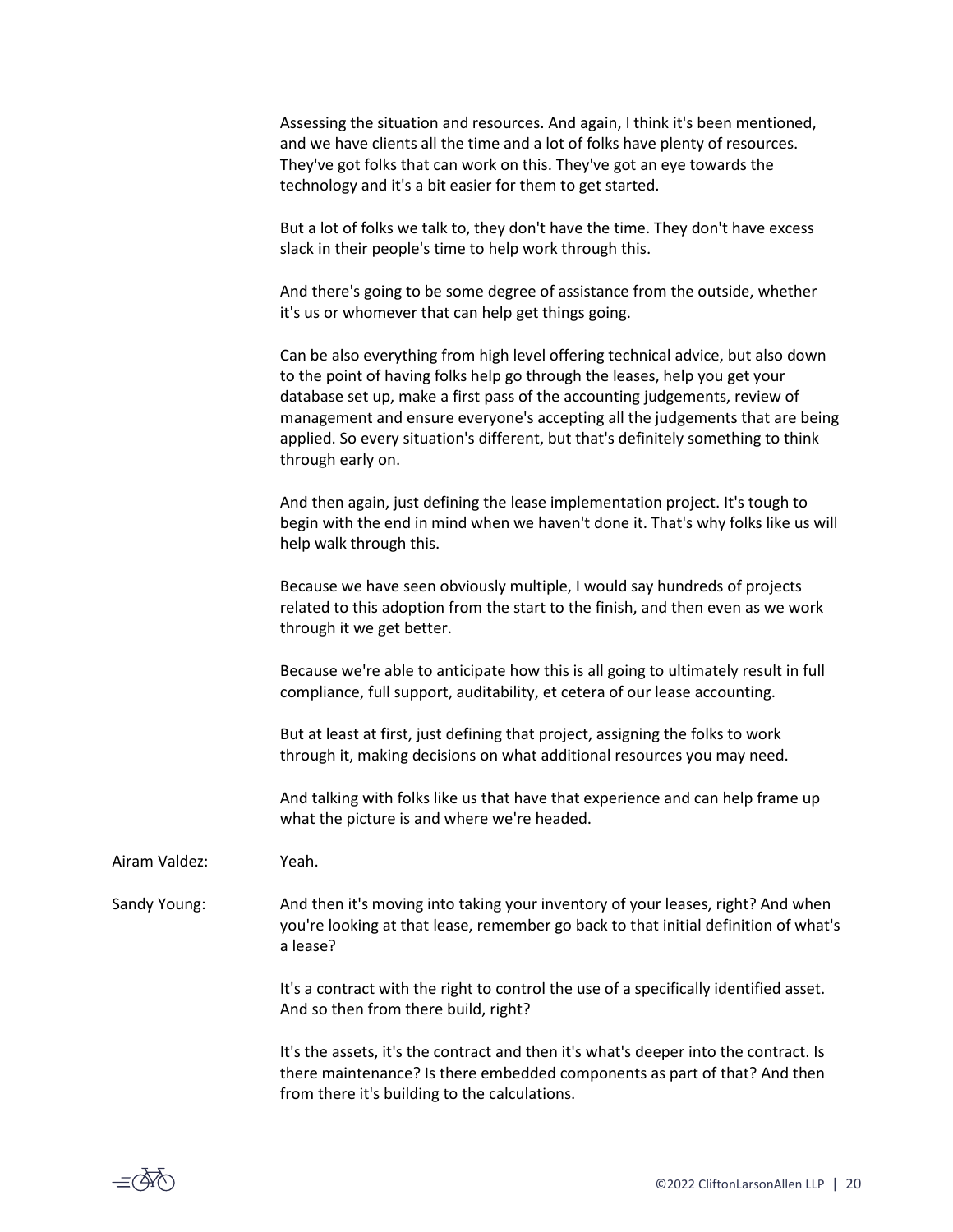| Assessing the situation and resources. And again, I think it's been mentioned, |
|--------------------------------------------------------------------------------|
| and we have clients all the time and a lot of folks have plenty of resources.  |
| They've got folks that can work on this. They've got an eye towards the        |
| technology and it's a bit easier for them to get started.                      |

But a lot of folks we talk to, they don't have the time. They don't have excess slack in their people's time to help work through this.

And there's going to be some degree of assistance from the outside, whether it's us or whomever that can help get things going.

Can be also everything from high level offering technical advice, but also down to the point of having folks help go through the leases, help you get your database set up, make a first pass of the accounting judgements, review of management and ensure everyone's accepting all the judgements that are being applied. So every situation's different, but that's definitely something to think through early on.

And then again, just defining the lease implementation project. It's tough to begin with the end in mind when we haven't done it. That's why folks like us will help walk through this.

Because we have seen obviously multiple, I would say hundreds of projects related to this adoption from the start to the finish, and then even as we work through it we get better.

Because we're able to anticipate how this is all going to ultimately result in full compliance, full support, auditability, et cetera of our lease accounting.

But at least at first, just defining that project, assigning the folks to work through it, making decisions on what additional resources you may need.

And talking with folks like us that have that experience and can help frame up what the picture is and where we're headed.

Airam Valdez: Yeah.

Sandy Young: And then it's moving into taking your inventory of your leases, right? And when you're looking at that lease, remember go back to that initial definition of what's a lease?

> It's a contract with the right to control the use of a specifically identified asset. And so then from there build, right?

> It's the assets, it's the contract and then it's what's deeper into the contract. Is there maintenance? Is there embedded components as part of that? And then from there it's building to the calculations.

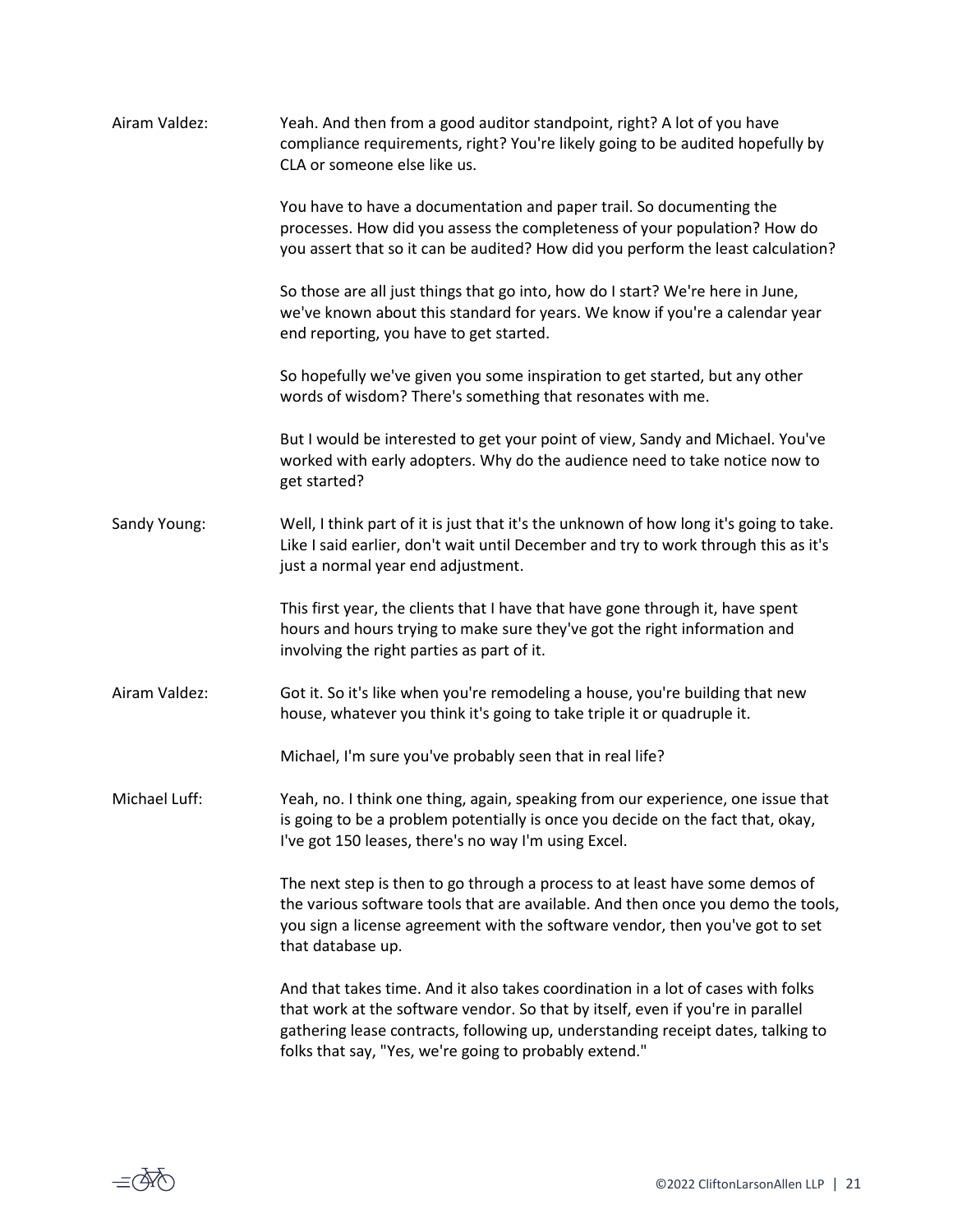| Airam Valdez: | Yeah. And then from a good auditor standpoint, right? A lot of you have<br>compliance requirements, right? You're likely going to be audited hopefully by<br>CLA or someone else like us.                                                                                                                         |
|---------------|-------------------------------------------------------------------------------------------------------------------------------------------------------------------------------------------------------------------------------------------------------------------------------------------------------------------|
|               | You have to have a documentation and paper trail. So documenting the<br>processes. How did you assess the completeness of your population? How do<br>you assert that so it can be audited? How did you perform the least calculation?                                                                             |
|               | So those are all just things that go into, how do I start? We're here in June,<br>we've known about this standard for years. We know if you're a calendar year<br>end reporting, you have to get started.                                                                                                         |
|               | So hopefully we've given you some inspiration to get started, but any other<br>words of wisdom? There's something that resonates with me.                                                                                                                                                                         |
|               | But I would be interested to get your point of view, Sandy and Michael. You've<br>worked with early adopters. Why do the audience need to take notice now to<br>get started?                                                                                                                                      |
| Sandy Young:  | Well, I think part of it is just that it's the unknown of how long it's going to take.<br>Like I said earlier, don't wait until December and try to work through this as it's<br>just a normal year end adjustment.                                                                                               |
|               | This first year, the clients that I have that have gone through it, have spent<br>hours and hours trying to make sure they've got the right information and<br>involving the right parties as part of it.                                                                                                         |
| Airam Valdez: | Got it. So it's like when you're remodeling a house, you're building that new<br>house, whatever you think it's going to take triple it or quadruple it.                                                                                                                                                          |
|               | Michael, I'm sure you've probably seen that in real life?                                                                                                                                                                                                                                                         |
| Michael Luff: | Yeah, no. I think one thing, again, speaking from our experience, one issue that<br>is going to be a problem potentially is once you decide on the fact that, okay,<br>I've got 150 leases, there's no way I'm using Excel.                                                                                       |
|               | The next step is then to go through a process to at least have some demos of<br>the various software tools that are available. And then once you demo the tools,<br>you sign a license agreement with the software vendor, then you've got to set<br>that database up.                                            |
|               | And that takes time. And it also takes coordination in a lot of cases with folks<br>that work at the software vendor. So that by itself, even if you're in parallel<br>gathering lease contracts, following up, understanding receipt dates, talking to<br>folks that say, "Yes, we're going to probably extend." |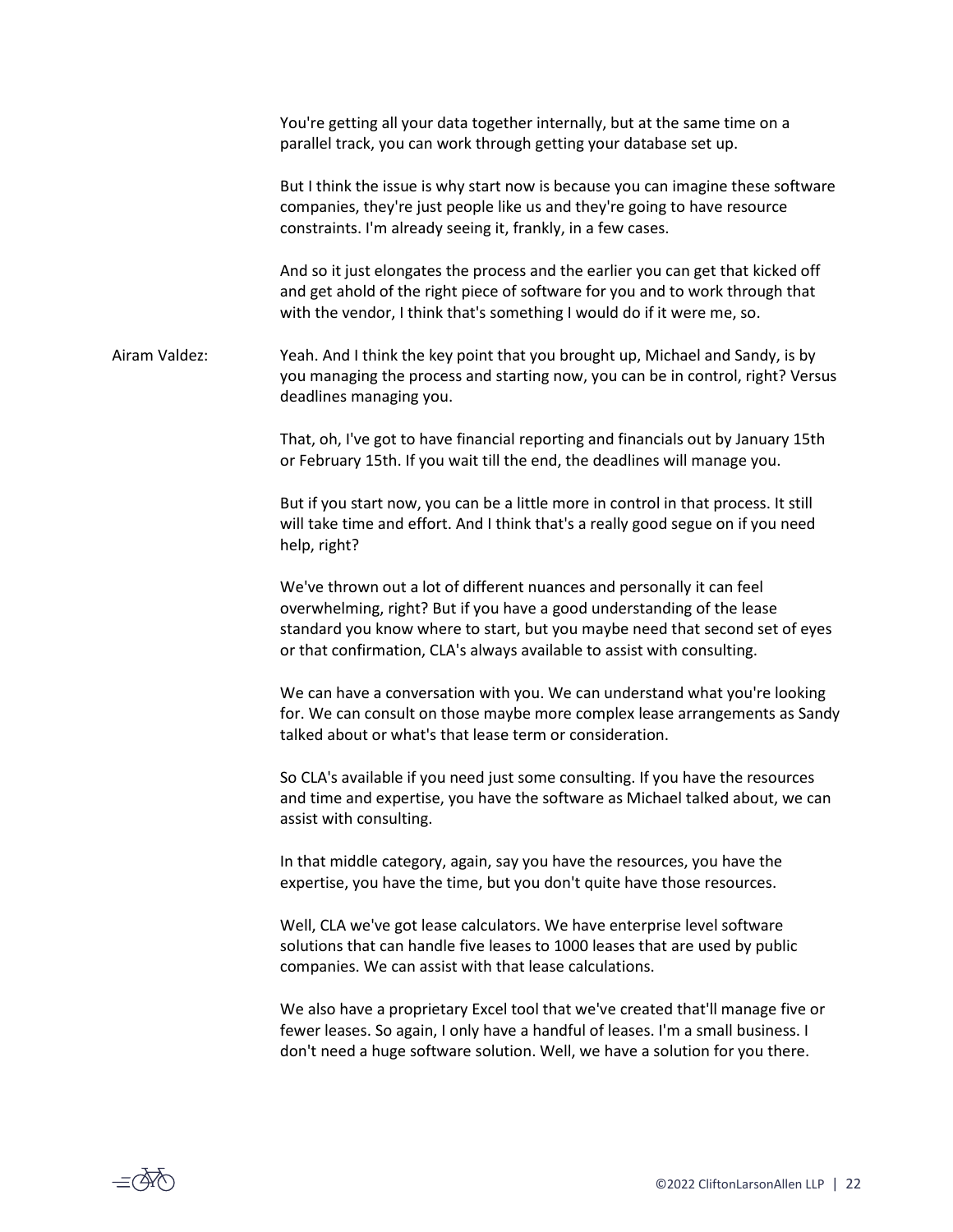|               | You're getting all your data together internally, but at the same time on a<br>parallel track, you can work through getting your database set up.                                                                                                                                                           |
|---------------|-------------------------------------------------------------------------------------------------------------------------------------------------------------------------------------------------------------------------------------------------------------------------------------------------------------|
|               | But I think the issue is why start now is because you can imagine these software<br>companies, they're just people like us and they're going to have resource<br>constraints. I'm already seeing it, frankly, in a few cases.                                                                               |
|               | And so it just elongates the process and the earlier you can get that kicked off<br>and get ahold of the right piece of software for you and to work through that<br>with the vendor, I think that's something I would do if it were me, so.                                                                |
| Airam Valdez: | Yeah. And I think the key point that you brought up, Michael and Sandy, is by<br>you managing the process and starting now, you can be in control, right? Versus<br>deadlines managing you.                                                                                                                 |
|               | That, oh, I've got to have financial reporting and financials out by January 15th<br>or February 15th. If you wait till the end, the deadlines will manage you.                                                                                                                                             |
|               | But if you start now, you can be a little more in control in that process. It still<br>will take time and effort. And I think that's a really good segue on if you need<br>help, right?                                                                                                                     |
|               | We've thrown out a lot of different nuances and personally it can feel<br>overwhelming, right? But if you have a good understanding of the lease<br>standard you know where to start, but you maybe need that second set of eyes<br>or that confirmation, CLA's always available to assist with consulting. |
|               | We can have a conversation with you. We can understand what you're looking<br>for. We can consult on those maybe more complex lease arrangements as Sandy<br>talked about or what's that lease term or consideration.                                                                                       |
|               | So CLA's available if you need just some consulting. If you have the resources<br>and time and expertise, you have the software as Michael talked about, we can<br>assist with consulting.                                                                                                                  |
|               | In that middle category, again, say you have the resources, you have the<br>expertise, you have the time, but you don't quite have those resources.                                                                                                                                                         |
|               | Well, CLA we've got lease calculators. We have enterprise level software<br>solutions that can handle five leases to 1000 leases that are used by public<br>companies. We can assist with that lease calculations.                                                                                          |
|               | We also have a proprietary Excel tool that we've created that'll manage five or<br>fewer leases. So again, I only have a handful of leases. I'm a small business. I<br>don't need a huge software solution. Well, we have a solution for you there.                                                         |
|               |                                                                                                                                                                                                                                                                                                             |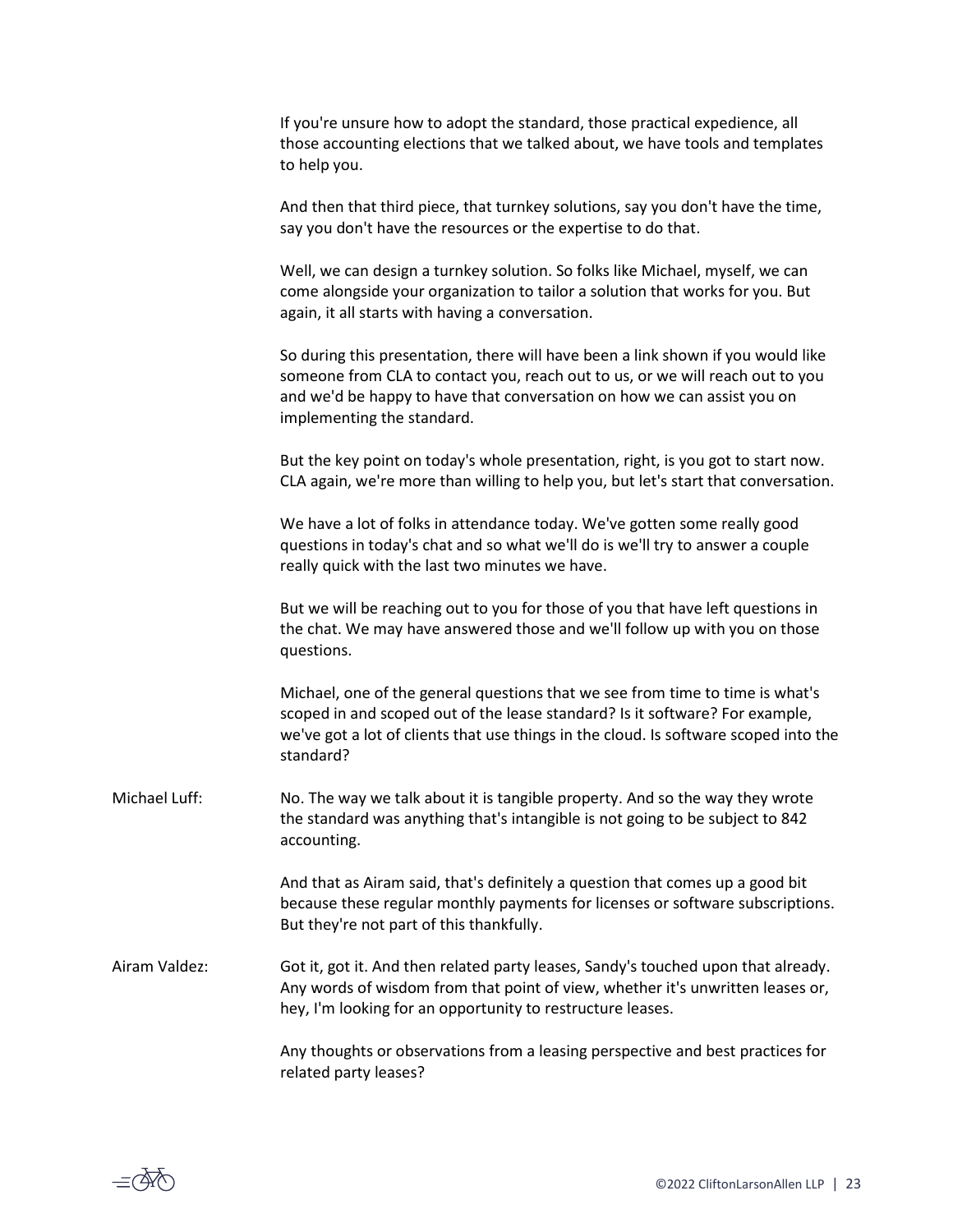If you're unsure how to adopt the standard, those practical expedience, all those accounting elections that we talked about, we have tools and templates to help you.

And then that third piece, that turnkey solutions, say you don't have the time, say you don't have the resources or the expertise to do that.

Well, we can design a turnkey solution. So folks like Michael, myself, we can come alongside your organization to tailor a solution that works for you. But again, it all starts with having a conversation.

So during this presentation, there will have been a link shown if you would like someone from CLA to contact you, reach out to us, or we will reach out to you and we'd be happy to have that conversation on how we can assist you on implementing the standard.

But the key point on today's whole presentation, right, is you got to start now. CLA again, we're more than willing to help you, but let's start that conversation.

We have a lot of folks in attendance today. We've gotten some really good questions in today's chat and so what we'll do is we'll try to answer a couple really quick with the last two minutes we have.

But we will be reaching out to you for those of you that have left questions in the chat. We may have answered those and we'll follow up with you on those questions.

Michael, one of the general questions that we see from time to time is what's scoped in and scoped out of the lease standard? Is it software? For example, we've got a lot of clients that use things in the cloud. Is software scoped into the standard?

Michael Luff: No. The way we talk about it is tangible property. And so the way they wrote the standard was anything that's intangible is not going to be subject to 842 accounting.

> And that as Airam said, that's definitely a question that comes up a good bit because these regular monthly payments for licenses or software subscriptions. But they're not part of this thankfully.

Airam Valdez: Got it, got it. And then related party leases, Sandy's touched upon that already. Any words of wisdom from that point of view, whether it's unwritten leases or, hey, I'm looking for an opportunity to restructure leases.

> Any thoughts or observations from a leasing perspective and best practices for related party leases?